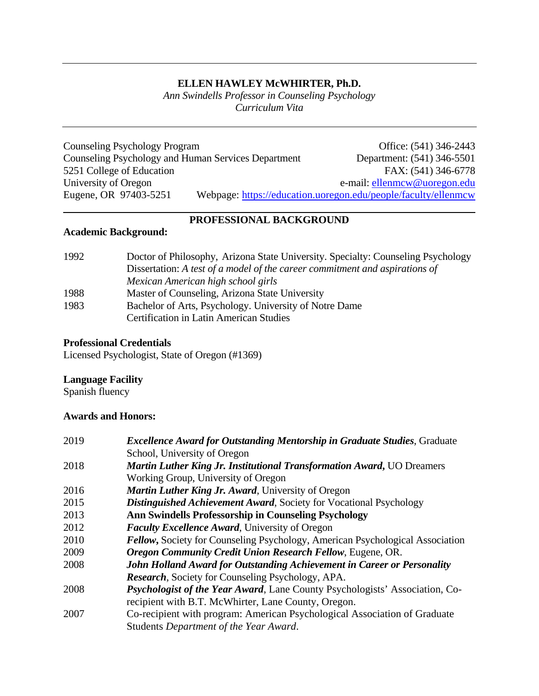## **ELLEN HAWLEY McWHIRTER, Ph.D.**

*Ann Swindells Professor in Counseling Psychology Curriculum Vita*

Counseling Psychology Program Office: (541) 346-2443<br>Counseling Psychology and Human Services Department Department: (541) 346-5501 Counseling Psychology and Human Services Department Department: (541) 346-5501<br>5251 College of Education FAX: (541) 346-6778 5251 College of Education University of Oregon<br>Eugene, OR 97403-5251 Webpage: https://education.uoregon.edu/people/faculty/ellenmcw Webpage: <https://education.uoregon.edu/people/faculty/ellenmcw>

## **PROFESSIONAL BACKGROUND**

## **Academic Background:**

| 1992 | Doctor of Philosophy, Arizona State University. Specialty: Counseling Psychology |
|------|----------------------------------------------------------------------------------|
|      | Dissertation: A test of a model of the career commitment and aspirations of      |
|      | Mexican American high school girls                                               |
| 1988 | Master of Counseling, Arizona State University                                   |
| 1983 | Bachelor of Arts, Psychology. University of Notre Dame                           |
|      | <b>Certification in Latin American Studies</b>                                   |

## **Professional Credentials**

Licensed Psychologist, State of Oregon (#1369)

## **Language Facility**

Spanish fluency

## **Awards and Honors:**

| 2019 | <b>Excellence Award for Outstanding Mentorship in Graduate Studies, Graduate</b>     |
|------|--------------------------------------------------------------------------------------|
|      | School, University of Oregon                                                         |
| 2018 | <b>Martin Luther King Jr. Institutional Transformation Award, UO Dreamers</b>        |
|      | Working Group, University of Oregon                                                  |
| 2016 | <b>Martin Luther King Jr. Award, University of Oregon</b>                            |
| 2015 | <b>Distinguished Achievement Award, Society for Vocational Psychology</b>            |
| 2013 | <b>Ann Swindells Professorship in Counseling Psychology</b>                          |
| 2012 | <b>Faculty Excellence Award, University of Oregon</b>                                |
| 2010 | <b>Fellow, Society for Counseling Psychology, American Psychological Association</b> |
| 2009 | <b>Oregon Community Credit Union Research Fellow, Eugene, OR.</b>                    |
| 2008 | John Holland Award for Outstanding Achievement in Career or Personality              |
|      | <b>Research, Society for Counseling Psychology, APA.</b>                             |
| 2008 | <i>Psychologist of the Year Award</i> , Lane County Psychologists' Association, Co-  |
|      | recipient with B.T. McWhirter, Lane County, Oregon.                                  |
| 2007 | Co-recipient with program: American Psychological Association of Graduate            |
|      | Students Department of the Year Award.                                               |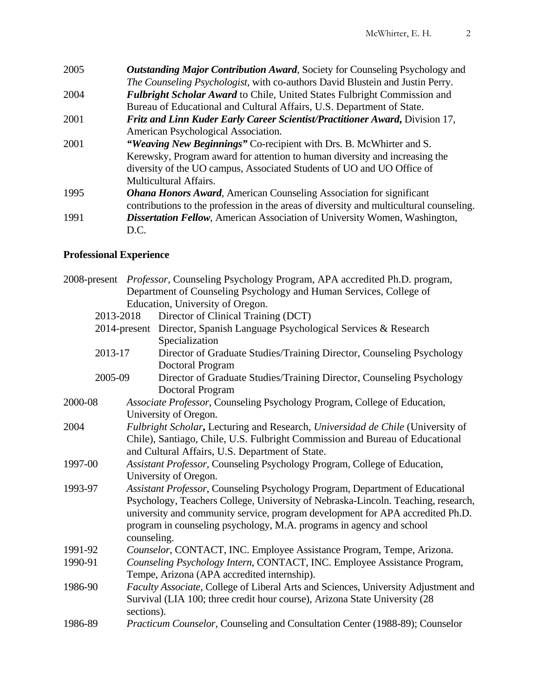| 2005 | <b>Outstanding Major Contribution Award, Society for Counseling Psychology and</b>      |
|------|-----------------------------------------------------------------------------------------|
|      | The Counseling Psychologist, with co-authors David Blustein and Justin Perry.           |
| 2004 | <b>Fulbright Scholar Award to Chile, United States Fulbright Commission and</b>         |
|      | Bureau of Educational and Cultural Affairs, U.S. Department of State.                   |
| 2001 | Fritz and Linn Kuder Early Career Scientist/Practitioner Award, Division 17,            |
|      | American Psychological Association.                                                     |
| 2001 | "Weaving New Beginnings" Co-recipient with Drs. B. McWhirter and S.                     |
|      | Kerewsky, Program award for attention to human diversity and increasing the             |
|      | diversity of the UO campus, Associated Students of UO and UO Office of                  |
|      | <b>Multicultural Affairs.</b>                                                           |
| 1995 | <b>Ohana Honors Award, American Counseling Association for significant</b>              |
|      | contributions to the profession in the areas of diversity and multicultural counseling. |
| 1991 | Dissertation Fellow, American Association of University Women, Washington,              |
|      | D.C.                                                                                    |

# **Professional Experience**

|           |                                                                           | 2008-present <i>Professor</i> , Counseling Psychology Program, APA accredited Ph.D. program, |  |
|-----------|---------------------------------------------------------------------------|----------------------------------------------------------------------------------------------|--|
|           |                                                                           | Department of Counseling Psychology and Human Services, College of                           |  |
|           |                                                                           | Education, University of Oregon.                                                             |  |
| 2013-2018 |                                                                           | Director of Clinical Training (DCT)                                                          |  |
|           |                                                                           | 2014-present Director, Spanish Language Psychological Services & Research                    |  |
|           |                                                                           | Specialization                                                                               |  |
| 2013-17   |                                                                           | Director of Graduate Studies/Training Director, Counseling Psychology                        |  |
|           |                                                                           | <b>Doctoral Program</b>                                                                      |  |
| 2005-09   |                                                                           | Director of Graduate Studies/Training Director, Counseling Psychology                        |  |
|           |                                                                           | Doctoral Program                                                                             |  |
| 2000-08   |                                                                           | Associate Professor, Counseling Psychology Program, College of Education,                    |  |
|           |                                                                           | University of Oregon.                                                                        |  |
| 2004      |                                                                           | Fulbright Scholar, Lecturing and Research, Universidad de Chile (University of               |  |
|           |                                                                           | Chile), Santiago, Chile, U.S. Fulbright Commission and Bureau of Educational                 |  |
|           |                                                                           | and Cultural Affairs, U.S. Department of State.                                              |  |
| 1997-00   | Assistant Professor, Counseling Psychology Program, College of Education, |                                                                                              |  |
|           |                                                                           | University of Oregon.                                                                        |  |
| 1993-97   |                                                                           | Assistant Professor, Counseling Psychology Program, Department of Educational                |  |
|           |                                                                           | Psychology, Teachers College, University of Nebraska-Lincoln. Teaching, research,            |  |
|           |                                                                           | university and community service, program development for APA accredited Ph.D.               |  |
|           |                                                                           | program in counseling psychology, M.A. programs in agency and school                         |  |
|           | counseling.                                                               |                                                                                              |  |
| 1991-92   | Counselor, CONTACT, INC. Employee Assistance Program, Tempe, Arizona.     |                                                                                              |  |
| 1990-91   |                                                                           | Counseling Psychology Intern, CONTACT, INC. Employee Assistance Program,                     |  |
|           |                                                                           | Tempe, Arizona (APA accredited internship).                                                  |  |
| 1986-90   |                                                                           | Faculty Associate, College of Liberal Arts and Sciences, University Adjustment and           |  |
|           |                                                                           | Survival (LIA 100; three credit hour course), Arizona State University (28                   |  |
|           | sections).                                                                |                                                                                              |  |
| 1986-89   |                                                                           | Practicum Counselor, Counseling and Consultation Center (1988-89); Counselor                 |  |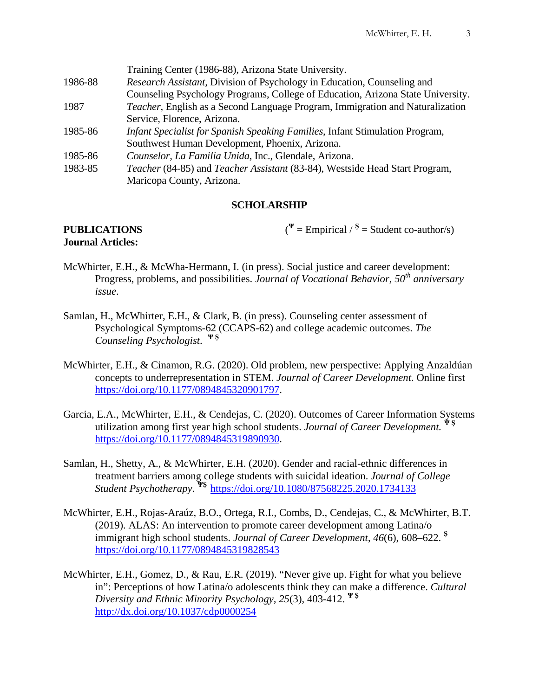|         | Training Center (1986-88), Arizona State University.                                  |
|---------|---------------------------------------------------------------------------------------|
| 1986-88 | Research Assistant, Division of Psychology in Education, Counseling and               |
|         | Counseling Psychology Programs, College of Education, Arizona State University.       |
| 1987    | <i>Teacher</i> , English as a Second Language Program, Immigration and Naturalization |
|         | Service, Florence, Arizona.                                                           |
| 1985-86 | Infant Specialist for Spanish Speaking Families, Infant Stimulation Program,          |
|         | Southwest Human Development, Phoenix, Arizona.                                        |
| 1985-86 | Counselor, La Familia Unida, Inc., Glendale, Arizona.                                 |
| 1983-85 | Teacher (84-85) and Teacher Assistant (83-84), Westside Head Start Program,           |
|         | Maricopa County, Arizona.                                                             |

## **SCHOLARSHIP**

#### **PUBLICATIONS** ( **Journal Articles:**

 $V^{\Psi}$  = Empirical / <sup>S</sup> = Student co-author/s)

- McWhirter, E.H., & McWha-Hermann, I. (in press). Social justice and career development: Progress, problems, and possibilities. *Journal of Vocational Behavior, 50th anniversary issue*.
- Samlan, H., McWhirter, E.H., & Clark, B. (in press). Counseling center assessment of Psychological Symptoms-62 (CCAPS-62) and college academic outcomes. *The Counseling Psychologist*. **Ψ Ş**
- McWhirter, E.H., & Cinamon, R.G. (2020). Old problem, new perspective: Applying Anzaldúan concepts to underrepresentation in STEM. *Journal of Career Development*. Online first [https://doi.org/10.1177/0894845320901797.](https://doi.org/10.1177/0894845320901797)
- Garcia, E.A., McWhirter, E.H., & Cendejas, C. (2020). Outcomes of Career Information Systems utilization among first year high school students. *Journal of Career Development.* **Ψ Ş** [https://doi.org/10.1177/0894845319890930.](https://doi.org/10.1177/0894845319890930)
- Samlan, H., Shetty, A., & McWhirter, E.H. (2020). Gender and racial-ethnic differences in treatment barriers among college students with suicidal ideation. *Journal of College Student Psychotherapy*. **ΨŞ** <https://doi.org/10.1080/87568225.2020.1734133>
- McWhirter, E.H., Rojas-Araúz, B.O., Ortega, R.I., Combs, D., Cendejas, C., & McWhirter, B.T. (2019). ALAS: An intervention to promote career development among Latina/o immigrant high school students. *Journal of Career Development*, *46*(6), 608–622. **<sup>Ş</sup>** <https://doi.org/10.1177/0894845319828543>
- McWhirter, E.H., Gomez, D., & Rau, E.R. (2019). "Never give up. Fight for what you believe in": Perceptions of how Latina/o adolescents think they can make a difference. *Cultural Diversity and Ethnic Minority Psychology, 25*(3), 403-412. **Ψ Ş** <http://dx.doi.org/10.1037/cdp0000254>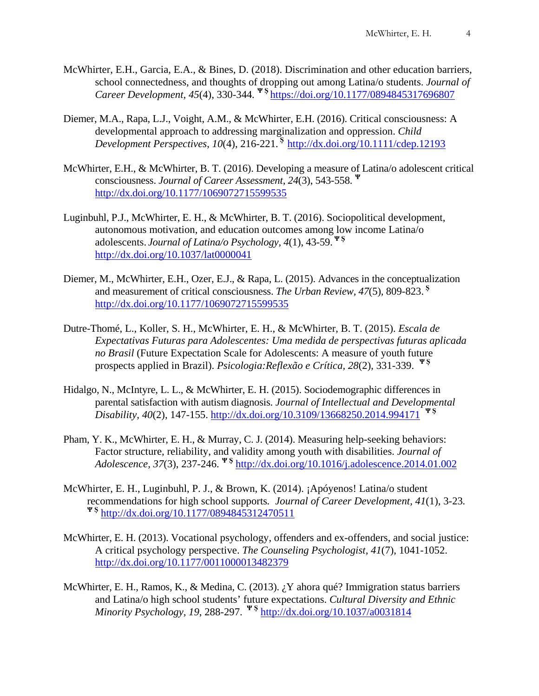- McWhirter, E.H., Garcia, E.A., & Bines, D. (2018). Discrimination and other education barriers, school connectedness, and thoughts of dropping out among Latina/o students. *Journal of Career Development, 45*(4), 330-344*.* **Ψ Ş** [https://doi.org/10.1177/0894845317696807](https://doi.org/10.1177%2F0894845317696807)
- Diemer, M.A., Rapa, L.J., Voight, A.M., & McWhirter, E.H. (2016). Critical consciousness: A developmental approach to addressing marginalization and oppression. *Child Development Perspectives*, *10*(4), 216-221. **<sup>Ş</sup>** <http://dx.doi.org/10.1111/cdep.12193>
- McWhirter, E.H., & McWhirter, B. T. (2016). Developing a measure of Latina/o adolescent critical consciousness. *Journal of Career Assessment, 24*(3), 543-558. **<sup>Ψ</sup>** <http://dx.doi.org/10.1177/1069072715599535>
- Luginbuhl, P.J., McWhirter, E. H., & McWhirter, B. T. (2016). Sociopolitical development, autonomous motivation, and education outcomes among low income Latina/o adolescents. *Journal of Latina/o Psychology, 4*(1), 43-59. **Ψ Ş** <http://dx.doi.org/10.1037/lat0000041>
- Diemer, M., McWhirter, E.H., Ozer, E.J., & Rapa, L. (2015). Advances in the conceptualization and measurement of critical consciousness. *The Urban Review, 47*(5)*,* 809-823. **<sup>Ş</sup>** <http://dx.doi.org/10.1177/1069072715599535>
- Dutre-Thomé, L., Koller, S. H., McWhirter, E. H., & McWhirter, B. T. (2015). *Escala de Expectativas Futuras para Adolescentes: Uma medida de perspectivas futuras aplicada no Brasil* (Future Expectation Scale for Adolescents: A measure of youth future prospects applied in Brazil). *Psicologia:Reflexão e Crítica, 28*(2), 331-339. **<sup>Ψ</sup> <sup>Ş</sup>**
- Hidalgo, N., McIntyre, L. L., & McWhirter, E. H. (2015). Sociodemographic differences in parental satisfaction with autism diagnosis. *Journal of Intellectual and Developmental Disability, 40*(2), 147-155. <http://dx.doi.org/10.3109/13668250.2014.994171> **Ψ Ş**
- Pham, Y. K., McWhirter, E. H., & Murray, C. J. (2014). Measuring help-seeking behaviors: Factor structure, reliability, and validity among youth with disabilities. *Journal of Adolescence, 37*(3), 237-246. **Ψ Ş** <http://dx.doi.org/10.1016/j.adolescence.2014.01.002>
- McWhirter, E. H., Luginbuhl, P. J., & Brown, K. (2014). ¡Apóyenos! Latina/o student recommendations for high school supports*. Journal of Career Development, 41*(1), 3-23*.* **Ψ Ş** <http://dx.doi.org/10.1177/0894845312470511>
- McWhirter, E. H. (2013). Vocational psychology, offenders and ex-offenders, and social justice: A critical psychology perspective. *The Counseling Psychologist, 41*(7), 1041-1052. <http://dx.doi.org/10.1177/0011000013482379>
- McWhirter, E. H., Ramos, K., & Medina, C. (2013). ¿Y ahora qué? Immigration status barriers and Latina/o high school students' future expectations. *Cultural Diversity and Ethnic Minority Psychology, 19*, 288-297. **Ψ Ş** <http://dx.doi.org/10.1037/a0031814>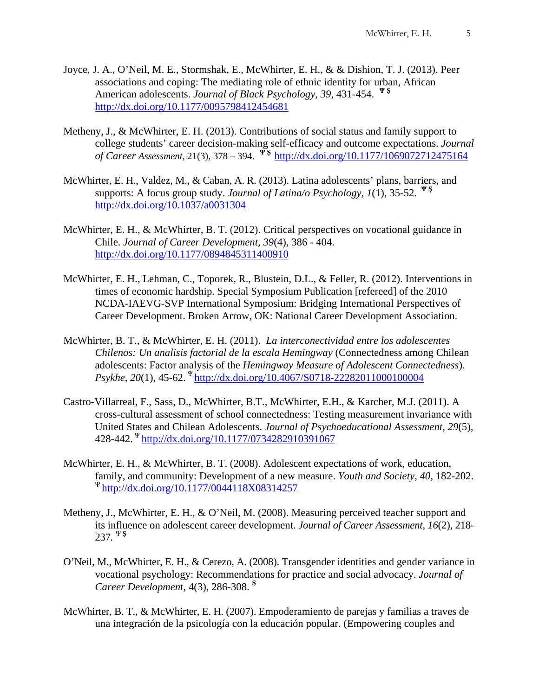- Joyce, J. A., O'Neil, M. E., Stormshak, E., McWhirter, E. H., & & Dishion, T. J. (2013). Peer associations and coping: The mediating role of ethnic identity for urban, African American adolescents. *Journal of Black Psychology, 39*, 431-454. **Ψ Ş** <http://dx.doi.org/10.1177/0095798412454681>
- Metheny, J., & McWhirter, E. H. (2013). Contributions of social status and family support to college students' career decision-making self-efficacy and outcome expectations. *Journal of Career Assessment*, 21(3), 378 – 394. **Ψ Ş** <http://dx.doi.org/10.1177/1069072712475164>
- McWhirter, E. H., Valdez, M., & Caban, A. R. (2013). Latina adolescents' plans, barriers, and supports: A focus group study. *Journal of Latina/o Psychology, 1*(1), 35-52. **Ψ Ş** <http://dx.doi.org/10.1037/a0031304>
- McWhirter, E. H., & McWhirter, B. T. (2012). Critical perspectives on vocational guidance in Chile. *Journal of Career Development, 39*(4), 386 - 404. <http://dx.doi.org/10.1177/0894845311400910>
- McWhirter, E. H., Lehman, C., Toporek, R., Blustein, D.L., & Feller, R. (2012). Interventions in times of economic hardship. Special Symposium Publication [refereed] of the 2010 NCDA-IAEVG-SVP International Symposium: Bridging International Perspectives of Career Development. Broken Arrow, OK: National Career Development Association.
- McWhirter, B. T., & McWhirter, E. H. (2011). *La interconectividad entre los adolescentes Chilenos: Un analisis factorial de la escala Hemingway* (Connectedness among Chilean adolescents: Factor analysis of the *Hemingway Measure of Adolescent Connectedness*). *Psykhe, 20*(1), 45-62. <sup>Ψ</sup> <http://dx.doi.org/10.4067/S0718-22282011000100004>
- Castro-Villarreal, F., Sass, D., McWhirter, B.T., McWhirter, E.H., & Karcher, M.J. (2011). A cross-cultural assessment of school connectedness: Testing measurement invariance with United States and Chilean Adolescents. *Journal of Psychoeducational Assessment, 29*(5), 428-442. <sup>Ψ</sup> <http://dx.doi.org/10.1177/0734282910391067>
- McWhirter, E. H., & McWhirter, B. T. (2008). Adolescent expectations of work, education, family, and community: Development of a new measure. *Youth and Society, 40*, 182-202.  $^{4}$  <http://dx.doi.org/10.1177/0044118X08314257>
- Metheny, J., McWhirter, E. H., & O'Neil, M. (2008). Measuring perceived teacher support and its influence on adolescent career development. *Journal of Career Assessment, 16*(2), 218- 237*.* <sup>Ψ</sup>**<sup>Ş</sup>**
- O'Neil, M., McWhirter, E. H., & Cerezo, A. (2008). Transgender identities and gender variance in vocational psychology: Recommendations for practice and social advocacy. *Journal of Career Developmen*t, 4(3), 286-308. **<sup>Ş</sup>**
- McWhirter, B. T., & McWhirter, E. H. (2007). Empoderamiento de parejas y familias a traves de una integración de la psicología con la educación popular. (Empowering couples and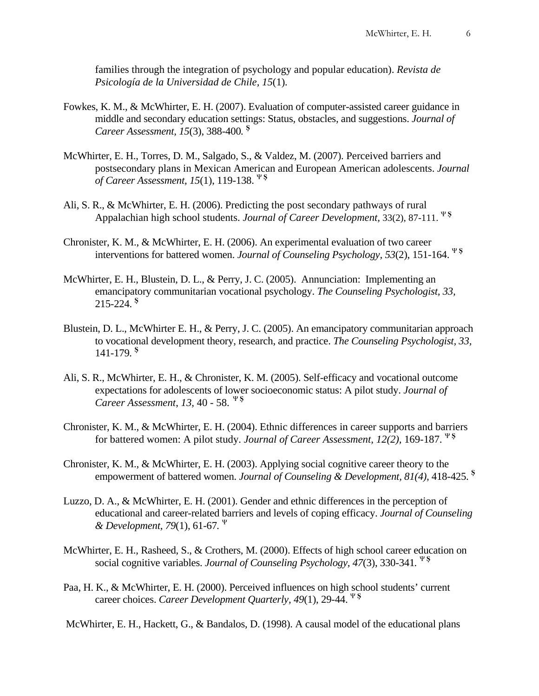families through the integration of psychology and popular education). *Revista de Psicología de la Universidad de Chile, 15*(1)*.*

- Fowkes, K. M., & McWhirter, E. H. (2007). Evaluation of computer-assisted career guidance in middle and secondary education settings: Status, obstacles, and suggestions. *Journal of Career Assessment, 15*(3), 388-400*.* **<sup>Ş</sup>**
- McWhirter, E. H., Torres, D. M., Salgado, S., & Valdez, M. (2007). Perceived barriers and postsecondary plans in Mexican American and European American adolescents. *Journal of Career Assessment, 15*(1), 119-138. <sup>Ψ</sup>**<sup>Ş</sup>**
- Ali, S. R., & McWhirter, E. H. (2006). Predicting the post secondary pathways of rural Appalachian high school students. *Journal of Career Development,* 33(2), 87-111. <sup>Ψ</sup>**<sup>Ş</sup>**
- Chronister, K. M., & McWhirter, E. H. (2006). An experimental evaluation of two career interventions for battered women. *Journal of Counseling Psychology, 53*(2), 151-164. <sup>Ψ</sup>**<sup>Ş</sup>**
- McWhirter, E. H., Blustein, D. L., & Perry, J. C. (2005). Annunciation: Implementing an emancipatory communitarian vocational psychology. *The Counseling Psychologist, 33,* 215-224. **<sup>Ş</sup>**
- Blustein, D. L., McWhirter E. H., & Perry, J. C. (2005). An emancipatory communitarian approach to vocational development theory, research, and practice. *The Counseling Psychologist, 33,*  141-179*.* **<sup>Ş</sup>**
- Ali, S. R., McWhirter, E. H., & Chronister, K. M. (2005). Self-efficacy and vocational outcome expectations for adolescents of lower socioeconomic status: A pilot study. *Journal of Career Assessment*, *13,* 40 - 58. <sup>Ψ</sup>**<sup>Ş</sup>**
- Chronister, K. M., & McWhirter, E. H. (2004). Ethnic differences in career supports and barriers for battered women: A pilot study. *Journal of Career Assessment, 12(2),* 169-187. <sup>Ψ</sup>**<sup>Ş</sup>**
- Chronister, K. M., & McWhirter, E. H. (2003). Applying social cognitive career theory to the empowerment of battered women. *Journal of Counseling & Development, 81(4),* 418-425. **<sup>Ş</sup>**
- Luzzo, D. A., & McWhirter, E. H. (2001). Gender and ethnic differences in the perception of educational and career-related barriers and levels of coping efficacy. *Journal of Counseling & Development, 79*(1), 61-67*.* <sup>Ψ</sup>
- McWhirter, E. H., Rasheed, S., & Crothers, M. (2000). Effects of high school career education on social cognitive variables. *Journal of Counseling Psychology, 47*(3), 330-341*.* <sup>Ψ</sup>**<sup>Ş</sup>**
- Paa, H. K., & McWhirter, E. H. (2000). Perceived influences on high school students' current career choices. *Career Development Quarterly, 49*(1), 29-44. <sup>Ψ</sup>**<sup>Ş</sup>**

McWhirter, E. H., Hackett, G., & Bandalos, D. (1998). A causal model of the educational plans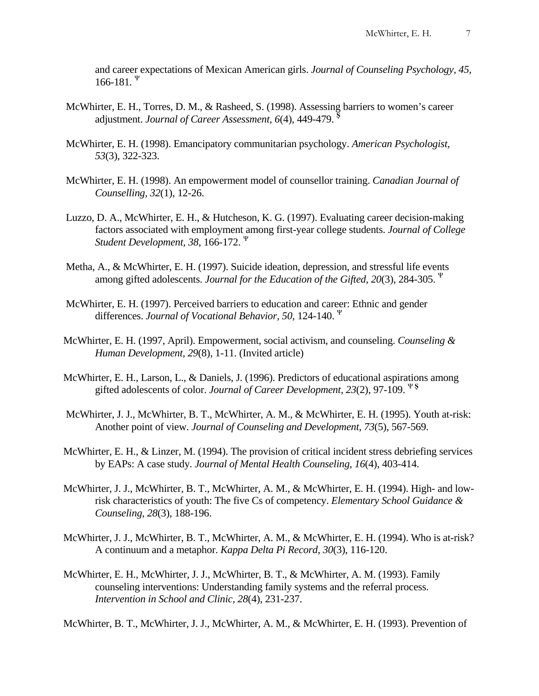and career expectations of Mexican American girls. *Journal of Counseling Psychology, 45*, 166-181*.* <sup>Ψ</sup>

- McWhirter, E. H., Torres, D. M., & Rasheed, S. (1998). Assessing barriers to women's career adjustment. *Journal of Career Assessment, 6*(4), 449-479. **<sup>Ş</sup>**
- McWhirter, E. H. (1998). Emancipatory communitarian psychology. *American Psychologist, 53*(3), 322-323.
- McWhirter, E. H. (1998). An empowerment model of counsellor training. *Canadian Journal of Counselling, 32*(1), 12-26.
- Luzzo, D. A., McWhirter, E. H., & Hutcheson, K. G. (1997). Evaluating career decision-making factors associated with employment among first-year college students. *Journal of College Student Development, 38*, 166-172. <sup>Ψ</sup>
- Metha, A., & McWhirter, E. H. (1997). Suicide ideation, depression, and stressful life events among gifted adolescents. *Journal for the Education of the Gifted, 20*(3), 284-305. <sup>Ψ</sup>
- McWhirter, E. H. (1997). Perceived barriers to education and career: Ethnic and gender differences. *Journal of Vocational Behavior, 50*, 124-140. <sup>Ψ</sup>
- McWhirter, E. H. (1997, April). Empowerment, social activism, and counseling. *Counseling & Human Development, 29*(8), 1-11. (Invited article)
- McWhirter, E. H., Larson, L., & Daniels, J. (1996). Predictors of educational aspirations among gifted adolescents of color. *Journal of Career Development, 23*(2), 97-109. <sup>Ψ</sup>**<sup>Ş</sup>**
- McWhirter, J. J., McWhirter, B. T., McWhirter, A. M., & McWhirter, E. H. (1995). Youth at-risk: Another point of view. *Journal of Counseling and Development*, *73*(5), 567-569.
- McWhirter, E. H., & Linzer, M. (1994). The provision of critical incident stress debriefing services by EAPs: A case study. *Journal of Mental Health Counseling*, *16*(4), 403-414.
- McWhirter, J. J., McWhirter, B. T., McWhirter, A. M., & McWhirter, E. H. (1994). High- and lowrisk characteristics of youth: The five Cs of competency. *Elementary School Guidance & Counseling, 28*(3), 188-196.
- McWhirter, J. J., McWhirter, B. T., McWhirter, A. M., & McWhirter, E. H. (1994). Who is at-risk? A continuum and a metaphor. *Kappa Delta Pi Record*, *30*(3), 116-120.
- McWhirter, E. H., McWhirter, J. J., McWhirter, B. T., & McWhirter, A. M. (1993). Family counseling interventions: Understanding family systems and the referral process. *Intervention in School and Clinic, 28*(4), 231-237.

McWhirter, B. T., McWhirter, J. J., McWhirter, A. M., & McWhirter, E. H. (1993). Prevention of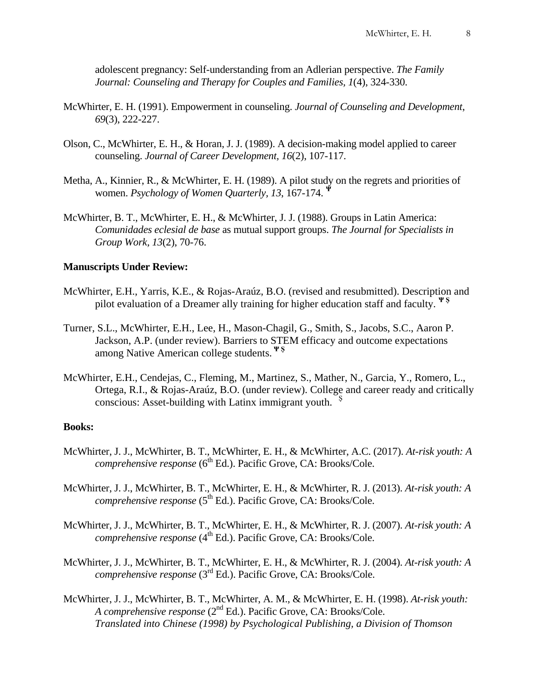adolescent pregnancy: Self-understanding from an Adlerian perspective. *The Family Journal: Counseling and Therapy for Couples and Families, 1*(4), 324-330.

- McWhirter, E. H. (1991). Empowerment in counseling. *Journal of Counseling and Development*, *69*(3), 222-227.
- Olson, C., McWhirter, E. H., & Horan, J. J. (1989). A decision-making model applied to career counseling. *Journal of Career Development, 16*(2), 107-117.
- Metha, A., Kinnier, R., & McWhirter, E. H. (1989). A pilot study on the regrets and priorities of women. *Psychology of Women Quarterly, 13*, 167-174. **<sup>Ψ</sup>**
- McWhirter, B. T., McWhirter, E. H., & McWhirter, J. J. (1988). Groups in Latin America: *Comunidades eclesial de base* as mutual support groups. *The Journal for Specialists in Group Work, 13*(2), 70-76.

#### **Manuscripts Under Review:**

- McWhirter, E.H., Yarris, K.E., & Rojas-Araúz, B.O. (revised and resubmitted). Description and pilot evaluation of a Dreamer ally training for higher education staff and faculty. **Ψ Ş**
- Turner, S.L., McWhirter, E.H., Lee, H., Mason-Chagil, G., Smith, S., Jacobs, S.C., Aaron P. Jackson, A.P. (under review). Barriers to STEM efficacy and outcome expectations among Native American college students. **Ψ Ş**
- McWhirter, E.H., Cendejas, C., Fleming, M., Martinez, S., Mather, N., Garcia, Y., Romero, L., Ortega, R.I., & Rojas-Araúz, B.O. (under review). College and career ready and critically conscious: Asset-building with Latinx immigrant youth.  $\frac{5}{3}$

## **Books:**

- McWhirter, J. J., McWhirter, B. T., McWhirter, E. H., & McWhirter, A.C. (2017). *At-risk youth: A comprehensive response* (6<sup>th</sup> Ed.). Pacific Grove, CA: Brooks/Cole.
- McWhirter, J. J., McWhirter, B. T., McWhirter, E. H., & McWhirter, R. J. (2013). *At-risk youth: A comprehensive response* (5<sup>th</sup> Ed.). Pacific Grove, CA: Brooks/Cole.
- McWhirter, J. J., McWhirter, B. T., McWhirter, E. H., & McWhirter, R. J. (2007). *At-risk youth: A comprehensive response* (4<sup>th</sup> Ed.). Pacific Grove, CA: Brooks/Cole.
- McWhirter, J. J., McWhirter, B. T., McWhirter, E. H., & McWhirter, R. J. (2004). *At-risk youth: A comprehensive response* (3<sup>rd</sup> Ed.). Pacific Grove, CA: Brooks/Cole.
- McWhirter, J. J., McWhirter, B. T., McWhirter, A. M., & McWhirter, E. H. (1998). *At-risk youth: A comprehensive response* (2<sup>nd</sup> Ed.). Pacific Grove, CA: Brooks/Cole. *Translated into Chinese (1998) by Psychological Publishing, a Division of Thomson*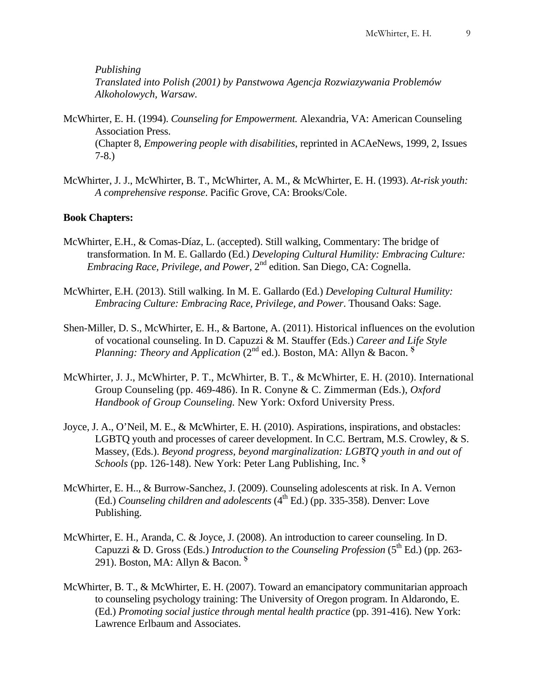*Publishing Translated into Polish (2001) by Panstwowa Agencja Rozwiazywania Problemów Alkoholowych, Warsaw.*

- McWhirter, E. H. (1994). *Counseling for Empowerment.* Alexandria, VA: American Counseling Association Press. (Chapter 8, *Empowering people with disabilities*, reprinted in ACAeNews, 1999, 2, Issues 7-8.)
- McWhirter, J. J., McWhirter, B. T., McWhirter, A. M., & McWhirter, E. H. (1993). *At-risk youth: A comprehensive response*. Pacific Grove, CA: Brooks/Cole.

## **Book Chapters:**

- McWhirter, E.H., & Comas-Díaz, L. (accepted). Still walking, Commentary: The bridge of transformation. In M. E. Gallardo (Ed.) *Developing Cultural Humility: Embracing Culture: Embracing Race, Privilege, and Power,* 2<sup>nd</sup> edition. San Diego, CA: Cognella.
- McWhirter, E.H. (2013). Still walking. In M. E. Gallardo (Ed.) *Developing Cultural Humility: Embracing Culture: Embracing Race, Privilege, and Power*. Thousand Oaks: Sage.
- Shen-Miller, D. S., McWhirter, E. H., & Bartone, A. (2011). Historical influences on the evolution of vocational counseling. In D. Capuzzi & M. Stauffer (Eds.) *Career and Life Style Planning: Theory and Application (2nd ed.). Boston, MA: Allyn & Bacon.* <sup>§</sup>
- McWhirter, J. J., McWhirter, P. T., McWhirter, B. T., & McWhirter, E. H. (2010). International Group Counseling (pp. 469-486). In R. Conyne & C. Zimmerman (Eds.), *Oxford Handbook of Group Counseling.* New York: Oxford University Press.
- Joyce, J. A., O'Neil, M. E., & McWhirter, E. H. (2010). Aspirations, inspirations, and obstacles: LGBTQ youth and processes of career development. In C.C. Bertram, M.S. Crowley, & S. Massey, (Eds.). *Beyond progress, beyond marginalization: LGBTQ youth in and out of Schools* (pp. 126-148). New York: Peter Lang Publishing, Inc. **<sup>Ş</sup>**
- McWhirter, E. H.., & Burrow-Sanchez, J. (2009). Counseling adolescents at risk. In A. Vernon (Ed.) *Counseling children and adolescents*  $(4^{th}$  Ed.) (pp. 335-358). Denver: Love Publishing.
- McWhirter, E. H., Aranda, C. & Joyce, J. (2008). An introduction to career counseling. In D. Capuzzi & D. Gross (Eds.) *Introduction to the Counseling Profession* ( $5<sup>th</sup>$  Ed.) (pp. 263-291). Boston, MA: Allyn & Bacon. **<sup>Ş</sup>**
- McWhirter, B. T., & McWhirter, E. H. (2007). Toward an emancipatory communitarian approach to counseling psychology training: The University of Oregon program. In Aldarondo, E. (Ed.) *Promoting social justice through mental health practice* (pp. 391-416)*.* New York: Lawrence Erlbaum and Associates.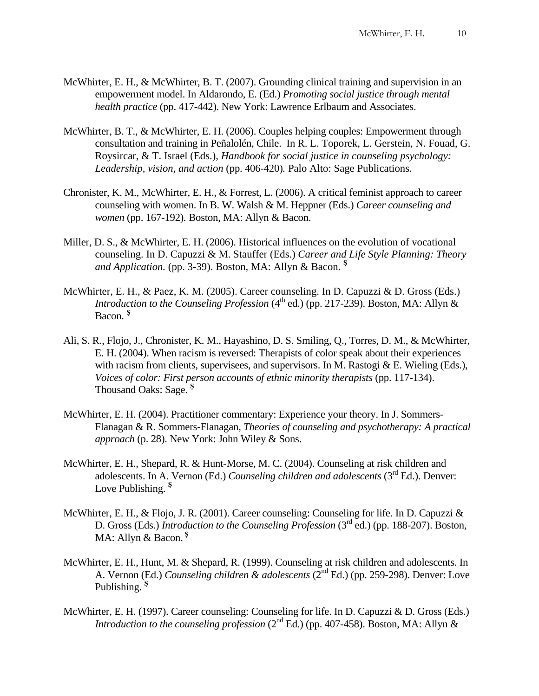- McWhirter, E. H., & McWhirter, B. T. (2007). Grounding clinical training and supervision in an empowerment model. In Aldarondo, E. (Ed.) *Promoting social justice through mental health practice* (pp. 417-442)*.* New York: Lawrence Erlbaum and Associates.
- McWhirter, B. T., & McWhirter, E. H. (2006). Couples helping couples: Empowerment through consultation and training in Peñalolén, Chile. In R. L. Toporek, L. Gerstein, N. Fouad, G. Roysircar, & T. Israel (Eds.), *Handbook for social justice in counseling psychology: Leadership, vision, and action* (pp. 406-420)*.* Palo Alto: Sage Publications.
- Chronister, K. M., McWhirter, E. H., & Forrest, L. (2006). A critical feminist approach to career counseling with women. In B. W. Walsh & M. Heppner (Eds.) *Career counseling and women* (pp. 167-192)*.* Boston, MA: Allyn & Bacon.
- Miller, D. S., & McWhirter, E. H. (2006). Historical influences on the evolution of vocational counseling. In D. Capuzzi & M. Stauffer (Eds.) *Career and Life Style Planning: Theory and Application.* (pp. 3-39). Boston, MA: Allyn & Bacon. **<sup>Ş</sup>**
- McWhirter, E. H., & Paez, K. M. (2005). Career counseling. In D. Capuzzi & D. Gross (Eds.) *Introduction to the Counseling Profession* ( $4^{\text{th}}$  ed.) (pp. 217-239). Boston, MA: Allyn & Bacon. **<sup>Ş</sup>**
- Ali, S. R., Flojo, J., Chronister, K. M., Hayashino, D. S. Smiling, Q., Torres, D. M., & McWhirter, E. H. (2004). When racism is reversed: Therapists of color speak about their experiences with racism from clients, supervisees, and supervisors. In M. Rastogi  $&\&E$ . Wieling (Eds.), *Voices of color: First person accounts of ethnic minority therapists* (pp. 117-134). Thousand Oaks: Sage. **<sup>Ş</sup>**
- McWhirter, E. H. (2004). Practitioner commentary: Experience your theory. In J. Sommers-Flanagan & R. Sommers-Flanagan, *Theories of counseling and psychotherapy: A practical approach* (p. 28). New York: John Wiley & Sons.
- McWhirter, E. H., Shepard, R. & Hunt-Morse, M. C. (2004). Counseling at risk children and adolescents. In A. Vernon (Ed.) *Counseling children and adolescents* (3rd Ed.). Denver: Love Publishing. **<sup>Ş</sup>**
- McWhirter, E. H., & Flojo, J. R. (2001). Career counseling: Counseling for life. In D. Capuzzi & D. Gross (Eds.) *Introduction to the Counseling Profession* (3rd ed.) (pp. 188-207). Boston, MA: Allyn & Bacon. **<sup>Ş</sup>**
- McWhirter, E. H., Hunt, M. & Shepard, R. (1999). Counseling at risk children and adolescents. In A. Vernon (Ed.) *Counseling children & adolescents* (2nd Ed.) (pp. 259-298). Denver: Love Publishing. **<sup>Ş</sup>**
- McWhirter, E. H. (1997). Career counseling: Counseling for life. In D. Capuzzi & D. Gross (Eds.) *Introduction to the counseling profession* ( $2<sup>nd</sup> Ed$ ) (pp. 407-458). Boston, MA: Allyn &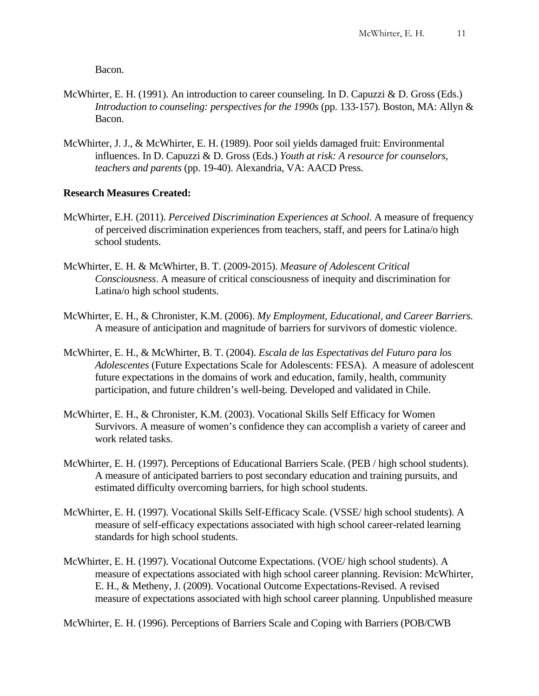Bacon.

- McWhirter, E. H. (1991). An introduction to career counseling. In D. Capuzzi & D. Gross (Eds.) *Introduction to counseling: perspectives for the 1990s* (pp. 133-157). Boston, MA: Allyn & Bacon.
- McWhirter, J. J., & McWhirter, E. H. (1989). Poor soil yields damaged fruit: Environmental influences. In D. Capuzzi & D. Gross (Eds.) *Youth at risk: A resource for counselors, teachers and parents* (pp. 19-40). Alexandria, VA: AACD Press.

## **Research Measures Created:**

- McWhirter, E.H. (2011). *Perceived Discrimination Experiences at School*. A measure of frequency of perceived discrimination experiences from teachers, staff, and peers for Latina/o high school students.
- McWhirter, E. H. & McWhirter, B. T. (2009-2015). *Measure of Adolescent Critical Consciousness*. A measure of critical consciousness of inequity and discrimination for Latina/o high school students.
- McWhirter, E. H., & Chronister, K.M. (2006). *My Employment, Educational, and Career Barriers*. A measure of anticipation and magnitude of barriers for survivors of domestic violence.
- McWhirter, E. H., & McWhirter, B. T. (2004). *Escala de las Espectativas del Futuro para los Adolescentes* (Future Expectations Scale for Adolescents: FESA). A measure of adolescent future expectations in the domains of work and education, family, health, community participation, and future children's well-being. Developed and validated in Chile.
- McWhirter, E. H., & Chronister, K.M. (2003). Vocational Skills Self Efficacy for Women Survivors. A measure of women's confidence they can accomplish a variety of career and work related tasks.
- McWhirter, E. H. (1997). Perceptions of Educational Barriers Scale. (PEB / high school students). A measure of anticipated barriers to post secondary education and training pursuits, and estimated difficulty overcoming barriers, for high school students.
- McWhirter, E. H. (1997). Vocational Skills Self-Efficacy Scale. (VSSE/ high school students). A measure of self-efficacy expectations associated with high school career-related learning standards for high school students.
- McWhirter, E. H. (1997). Vocational Outcome Expectations. (VOE/ high school students). A measure of expectations associated with high school career planning. Revision: McWhirter, E. H., & Metheny, J. (2009). Vocational Outcome Expectations-Revised. A revised measure of expectations associated with high school career planning. Unpublished measure

McWhirter, E. H. (1996). Perceptions of Barriers Scale and Coping with Barriers (POB/CWB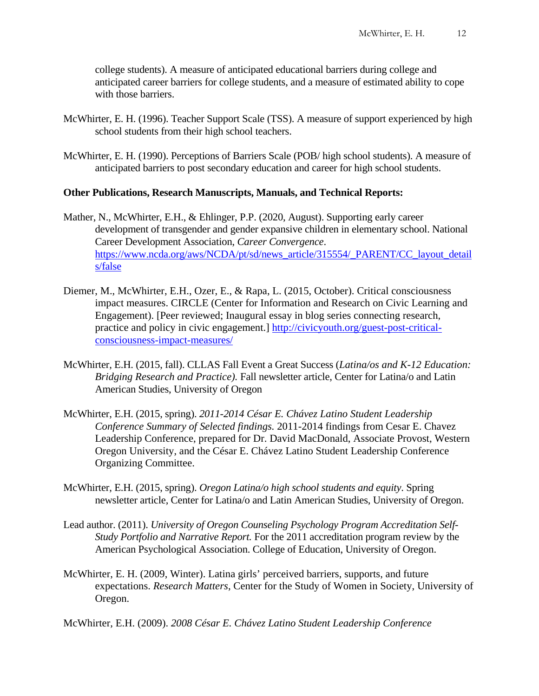college students). A measure of anticipated educational barriers during college and anticipated career barriers for college students, and a measure of estimated ability to cope with those barriers.

- McWhirter, E. H. (1996). Teacher Support Scale (TSS). A measure of support experienced by high school students from their high school teachers.
- McWhirter, E. H. (1990). Perceptions of Barriers Scale (POB/ high school students). A measure of anticipated barriers to post secondary education and career for high school students.

#### **Other Publications, Research Manuscripts, Manuals, and Technical Reports:**

- Mather, N., McWhirter, E.H., & Ehlinger, P.P. (2020, August). Supporting early career development of transgender and gender expansive children in elementary school. National Career Development Association, *Career Convergence*. [https://www.ncda.org/aws/NCDA/pt/sd/news\\_article/315554/\\_PARENT/CC\\_layout\\_detail](https://www.ncda.org/aws/NCDA/pt/sd/news_article/315554/_PARENT/CC_layout_details/false) [s/false](https://www.ncda.org/aws/NCDA/pt/sd/news_article/315554/_PARENT/CC_layout_details/false)
- Diemer, M., McWhirter, E.H., Ozer, E., & Rapa, L. (2015, October). Critical consciousness impact measures. CIRCLE (Center for Information and Research on Civic Learning and Engagement). [Peer reviewed; Inaugural essay in blog series connecting research, practice and policy in civic engagement.] [http://civicyouth.org/guest-post-critical](http://civicyouth.org/guest-post-critical-consciousness-impact-measures/)[consciousness-impact-measures/](http://civicyouth.org/guest-post-critical-consciousness-impact-measures/)
- McWhirter, E.H. (2015, fall). CLLAS Fall Event a Great Success (*Latina/os and K-12 Education: Bridging Research and Practice).* Fall newsletter article, Center for Latina/o and Latin American Studies, University of Oregon
- McWhirter, E.H. (2015, spring). *2011-2014 César E. Chávez Latino Student Leadership Conference Summary of Selected findings.* 2011-2014 findings from Cesar E. Chavez Leadership Conference, prepared for Dr. David MacDonald, Associate Provost, Western Oregon University, and the César E. Chávez Latino Student Leadership Conference Organizing Committee.
- McWhirter, E.H. (2015, spring). *Oregon Latina/o high school students and equity*. Spring newsletter article, Center for Latina/o and Latin American Studies, University of Oregon.
- Lead author. (2011). *University of Oregon Counseling Psychology Program Accreditation Self-Study Portfolio and Narrative Report.* For the 2011 accreditation program review by the American Psychological Association. College of Education, University of Oregon.
- McWhirter, E. H. (2009, Winter). Latina girls' perceived barriers, supports, and future expectations. *Research Matters*, Center for the Study of Women in Society, University of Oregon.

McWhirter, E.H. (2009). *2008 César E. Chávez Latino Student Leadership Conference*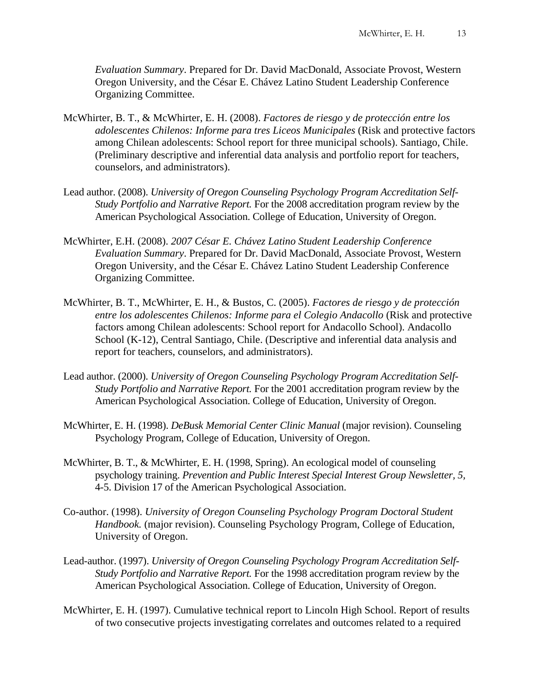*Evaluation Summary*. Prepared for Dr. David MacDonald, Associate Provost, Western Oregon University, and the César E. Chávez Latino Student Leadership Conference Organizing Committee.

- McWhirter, B. T., & McWhirter, E. H. (2008). *Factores de riesgo y de protección entre los adolescentes Chilenos: Informe para tres Liceos Municipales* (Risk and protective factors among Chilean adolescents: School report for three municipal schools). Santiago, Chile. (Preliminary descriptive and inferential data analysis and portfolio report for teachers, counselors, and administrators).
- Lead author. (2008). *University of Oregon Counseling Psychology Program Accreditation Self-Study Portfolio and Narrative Report.* For the 2008 accreditation program review by the American Psychological Association. College of Education, University of Oregon.
- McWhirter, E.H. (2008). *2007 César E. Chávez Latino Student Leadership Conference Evaluation Summary*. Prepared for Dr. David MacDonald, Associate Provost, Western Oregon University, and the César E. Chávez Latino Student Leadership Conference Organizing Committee.
- McWhirter, B. T., McWhirter, E. H., & Bustos, C. (2005). *Factores de riesgo y de protección entre los adolescentes Chilenos: Informe para el Colegio Andacollo* (Risk and protective factors among Chilean adolescents: School report for Andacollo School). Andacollo School (K-12), Central Santiago, Chile. (Descriptive and inferential data analysis and report for teachers, counselors, and administrators).
- Lead author. (2000). *University of Oregon Counseling Psychology Program Accreditation Self-Study Portfolio and Narrative Report.* For the 2001 accreditation program review by the American Psychological Association. College of Education, University of Oregon.
- McWhirter, E. H. (1998). *DeBusk Memorial Center Clinic Manual* (major revision). Counseling Psychology Program, College of Education, University of Oregon.
- McWhirter, B. T., & McWhirter, E. H. (1998, Spring). An ecological model of counseling psychology training. *Prevention and Public Interest Special Interest Group Newsletter, 5,* 4-5. Division 17 of the American Psychological Association.
- Co-author. (1998). *University of Oregon Counseling Psychology Program Doctoral Student Handbook.* (major revision). Counseling Psychology Program, College of Education, University of Oregon.
- Lead-author. (1997). *University of Oregon Counseling Psychology Program Accreditation Self-Study Portfolio and Narrative Report.* For the 1998 accreditation program review by the American Psychological Association. College of Education, University of Oregon.
- McWhirter, E. H. (1997). Cumulative technical report to Lincoln High School. Report of results of two consecutive projects investigating correlates and outcomes related to a required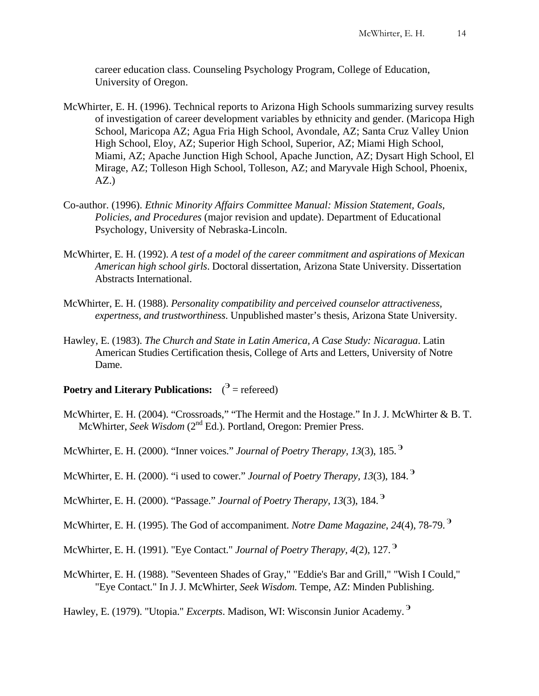career education class. Counseling Psychology Program, College of Education, University of Oregon.

- McWhirter, E. H. (1996). Technical reports to Arizona High Schools summarizing survey results of investigation of career development variables by ethnicity and gender. (Maricopa High School, Maricopa AZ; Agua Fria High School, Avondale, AZ; Santa Cruz Valley Union High School, Eloy, AZ; Superior High School, Superior, AZ; Miami High School, Miami, AZ; Apache Junction High School, Apache Junction, AZ; Dysart High School, El Mirage, AZ; Tolleson High School, Tolleson, AZ; and Maryvale High School, Phoenix,  $AZ.$ )
- Co-author. (1996). *Ethnic Minority Affairs Committee Manual: Mission Statement, Goals, Policies, and Procedures* (major revision and update). Department of Educational Psychology, University of Nebraska-Lincoln.
- McWhirter, E. H. (1992). *A test of a model of the career commitment and aspirations of Mexican American high school girls*. Doctoral dissertation, Arizona State University. Dissertation Abstracts International.
- McWhirter, E. H. (1988). *Personality compatibility and perceived counselor attractiveness, expertness, and trustworthiness*. Unpublished master's thesis, Arizona State University.
- Hawley, E. (1983). *The Church and State in Latin America, A Case Study: Nicaragua*. Latin American Studies Certification thesis, College of Arts and Letters, University of Notre Dame.
- **Poetry and Literary Publications:** (<sup>3</sup> = refereed)
- McWhirter, E. H. (2004). "Crossroads," "The Hermit and the Hostage." In J. J. McWhirter & B. T. McWhirter, *Seek Wisdom* (2<sup>nd</sup> Ed.). Portland, Oregon: Premier Press.
- McWhirter, E. H. (2000). "Inner voices." *Journal of Poetry Therapy, 13*(3), 185. **<sup>Э</sup>**
- McWhirter, E. H. (2000). "i used to cower." *Journal of Poetry Therapy, 13*(3), 184. **<sup>Э</sup>**
- McWhirter, E. H. (2000). "Passage." *Journal of Poetry Therapy, 13*(3), 184. **<sup>Э</sup>**
- McWhirter, E. H. (1995). The God of accompaniment. *Notre Dame Magazine*, *24*(4), 78-79. **<sup>Э</sup>**
- McWhirter, E. H. (1991). "Eye Contact." *Journal of Poetry Therapy, 4*(2), 127. **<sup>Э</sup>**
- McWhirter, E. H. (1988). "Seventeen Shades of Gray," "Eddie's Bar and Grill," "Wish I Could," "Eye Contact." In J. J. McWhirter, *Seek Wisdom.* Tempe, AZ: Minden Publishing.
- Hawley, E. (1979). "Utopia." *Excerpts*. Madison, WI: Wisconsin Junior Academy. **<sup>Э</sup>**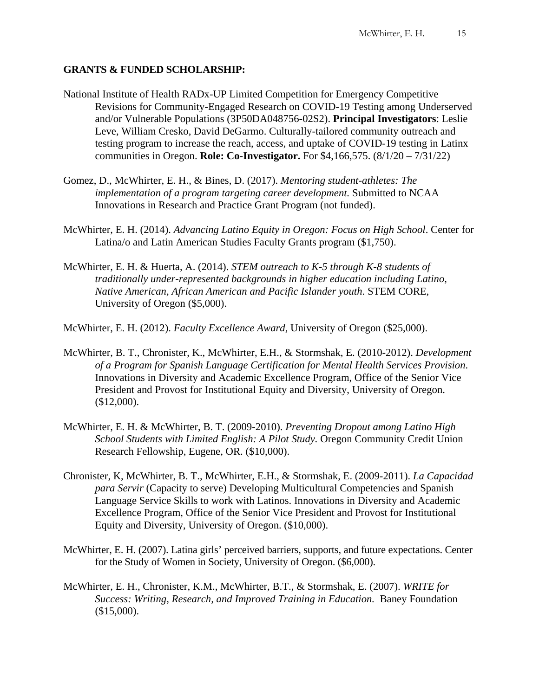## **GRANTS & FUNDED SCHOLARSHIP:**

- National Institute of Health RADx-UP Limited Competition for Emergency Competitive Revisions for Community-Engaged Research on COVID-19 Testing among Underserved and/or Vulnerable Populations (3P50DA048756-02S2). **Principal Investigators**: Leslie Leve, William Cresko, David DeGarmo. Culturally-tailored community outreach and testing program to increase the reach, access, and uptake of COVID-19 testing in Latinx communities in Oregon. **Role: Co-Investigator.** For \$4,166,575. (8/1/20 – 7/31/22)
- Gomez, D., McWhirter, E. H., & Bines, D. (2017). *Mentoring student-athletes: The implementation of a program targeting career development.* Submitted to NCAA Innovations in Research and Practice Grant Program (not funded).
- McWhirter, E. H. (2014). *Advancing Latino Equity in Oregon: Focus on High School*. Center for Latina/o and Latin American Studies Faculty Grants program (\$1,750).
- McWhirter, E. H. & Huerta, A. (2014). *STEM outreach to K-5 through K-8 students of traditionally under-represented backgrounds in higher education including Latino, Native American, African American and Pacific Islander youth*. STEM CORE, University of Oregon (\$5,000).
- McWhirter, E. H. (2012). *Faculty Excellence Award*, University of Oregon (\$25,000).
- McWhirter, B. T., Chronister, K., McWhirter, E.H., & Stormshak, E. (2010-2012). *Development of a Program for Spanish Language Certification for Mental Health Services Provision*. Innovations in Diversity and Academic Excellence Program, Office of the Senior Vice President and Provost for Institutional Equity and Diversity, University of Oregon. (\$12,000).
- McWhirter, E. H. & McWhirter, B. T. (2009-2010). *Preventing Dropout among Latino High School Students with Limited English: A Pilot Study.* Oregon Community Credit Union Research Fellowship, Eugene, OR. (\$10,000).
- Chronister, K, McWhirter, B. T., McWhirter, E.H., & Stormshak, E. (2009-2011). *La Capacidad para Servir* (Capacity to serve) Developing Multicultural Competencies and Spanish Language Service Skills to work with Latinos. Innovations in Diversity and Academic Excellence Program, Office of the Senior Vice President and Provost for Institutional Equity and Diversity, University of Oregon. (\$10,000).
- McWhirter, E. H. (2007). Latina girls' perceived barriers, supports, and future expectations. Center for the Study of Women in Society, University of Oregon. (\$6,000).
- McWhirter, E. H., Chronister, K.M., McWhirter, B.T., & Stormshak, E. (2007). *WRITE for Success: Writing, Research, and Improved Training in Education.* Baney Foundation  $($15,000)$ .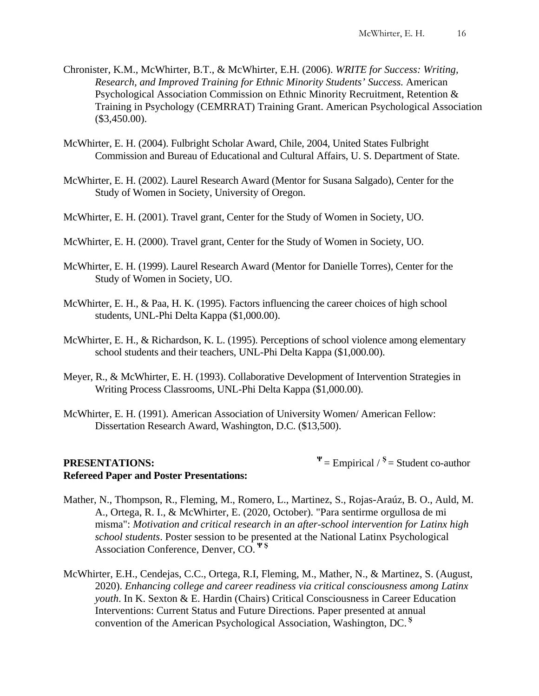- Chronister, K.M., McWhirter, B.T., & McWhirter, E.H. (2006). *WRITE for Success: Writing, Research, and Improved Training for Ethnic Minority Students' Success.* American Psychological Association Commission on Ethnic Minority Recruitment, Retention & Training in Psychology (CEMRRAT) Training Grant. American Psychological Association (\$3,450.00).
- McWhirter, E. H. (2004). Fulbright Scholar Award, Chile, 2004, United States Fulbright Commission and Bureau of Educational and Cultural Affairs, U. S. Department of State.
- McWhirter, E. H. (2002). Laurel Research Award (Mentor for Susana Salgado), Center for the Study of Women in Society, University of Oregon.
- McWhirter, E. H. (2001). Travel grant, Center for the Study of Women in Society, UO.
- McWhirter, E. H. (2000). Travel grant, Center for the Study of Women in Society, UO.
- McWhirter, E. H. (1999). Laurel Research Award (Mentor for Danielle Torres), Center for the Study of Women in Society, UO.
- McWhirter, E. H., & Paa, H. K. (1995). Factors influencing the career choices of high school students, UNL-Phi Delta Kappa (\$1,000.00).
- McWhirter, E. H., & Richardson, K. L. (1995). Perceptions of school violence among elementary school students and their teachers, UNL-Phi Delta Kappa (\$1,000.00).
- Meyer, R., & McWhirter, E. H. (1993). Collaborative Development of Intervention Strategies in Writing Process Classrooms, UNL-Phi Delta Kappa (\$1,000.00).
- McWhirter, E. H. (1991). American Association of University Women/ American Fellow: Dissertation Research Award, Washington, D.C. (\$13,500).

## **PRESENTATIONS:**  $\Psi = \text{Empirical } / S = \text{Student co-author}$ **Refereed Paper and Poster Presentations:**

- Mather, N., Thompson, R., Fleming, M., Romero, L., Martinez, S., Rojas-Araúz, B. O., Auld, M. A., Ortega, R. I., & McWhirter, E. (2020, October). "Para sentirme orgullosa de mi misma": *Motivation and critical research in an after-school intervention for Latinx high school students*. Poster session to be presented at the National Latinx Psychological Association Conference, Denver, CO. **Ψ Ş**
- McWhirter, E.H., Cendejas, C.C., Ortega, R.I, Fleming, M., Mather, N., & Martinez, S. (August, 2020). *Enhancing college and career readiness via critical consciousness among Latinx youth*. In K. Sexton & E. Hardin (Chairs) Critical Consciousness in Career Education Interventions: Current Status and Future Directions. Paper presented at annual convention of the American Psychological Association, Washington, DC. **<sup>Ş</sup>**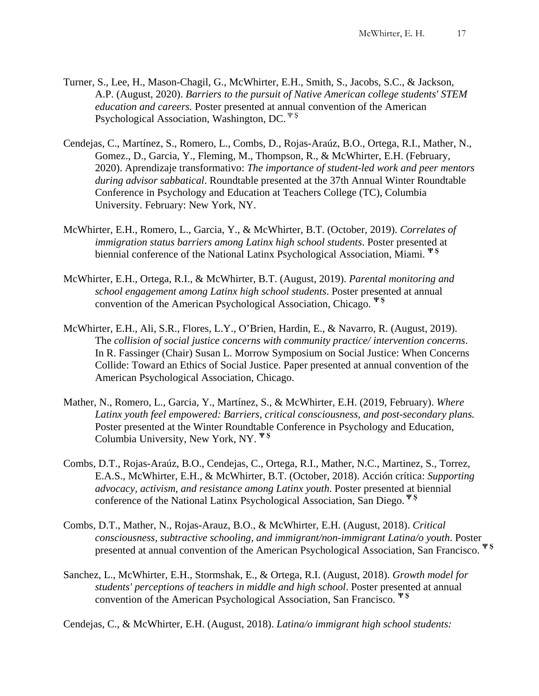- Turner, S., Lee, H., Mason-Chagil, G., McWhirter, E.H., Smith, S., Jacobs, S.C., & Jackson, A.P. (August, 2020). *Barriers to the pursuit of Native American college students' STEM education and careers.* Poster presented at annual convention of the American Psychological Association, Washington, DC. <sup>Ψ</sup> <sup>Ş</sup>
- Cendejas, C., Martínez, S., Romero, L., Combs, D., Rojas-Araúz, B.O., Ortega, R.I., Mather, N., Gomez., D., Garcia, Y., Fleming, M., Thompson, R., & McWhirter, E.H. (February, 2020). Aprendizaje transformativo: *The importance of student-led work and peer mentors during advisor sabbatical*. Roundtable presented at the 37th Annual Winter Roundtable Conference in Psychology and Education at Teachers College (TC), Columbia University. February: New York, NY.
- McWhirter, E.H., Romero, L., Garcia, Y., & McWhirter, B.T. (October, 2019). *Correlates of immigration status barriers among Latinx high school students*. Poster presented at biennial conference of the National Latinx Psychological Association, Miami. **Ψ Ş**
- McWhirter, E.H., Ortega, R.I., & McWhirter, B.T. (August, 2019). *Parental monitoring and school engagement among Latinx high school students*. Poster presented at annual convention of the American Psychological Association, Chicago. **Ψ Ş**
- McWhirter, E.H., Ali, S.R., Flores, L.Y., O'Brien, Hardin, E., & Navarro, R. (August, 2019). The *collision of social justice concerns with community practice/ intervention concerns*. In R. Fassinger (Chair) Susan L. Morrow Symposium on Social Justice: When Concerns Collide: Toward an Ethics of Social Justice. Paper presented at annual convention of the American Psychological Association, Chicago.
- Mather, N., Romero, L., Garcia, Y., Martínez, S., & McWhirter, E.H. (2019, February). *Where Latinx youth feel empowered: Barriers, critical consciousness, and post-secondary plans.* Poster presented at the Winter Roundtable Conference in Psychology and Education, Columbia University, New York, NY. **Ψ Ş**
- Combs, D.T., Rojas-Araúz, B.O., Cendejas, C., Ortega, R.I., Mather, N.C., Martinez, S., Torrez, E.A.S., McWhirter, E.H., & McWhirter, B.T. (October, 2018). Acción crítica: *Supporting advocacy, activism, and resistance among Latinx youth*. Poster presented at biennial conference of the National Latinx Psychological Association, San Diego. **Ψ Ş**
- Combs, D.T., Mather, N., Rojas-Arauz, B.O., & McWhirter, E.H. (August, 2018). *Critical consciousness, subtractive schooling, and immigrant/non-immigrant Latina/o youth*. Poster presented at annual convention of the American Psychological Association, San Francisco. **Ψ Ş**
- Sanchez, L., McWhirter, E.H., Stormshak, E., & Ortega, R.I. (August, 2018). *Growth model for students' perceptions of teachers in middle and high school*. Poster presented at annual convention of the American Psychological Association, San Francisco. **Ψ Ş**

Cendejas, C., & McWhirter, E.H. (August, 2018). *Latina/o immigrant high school students:*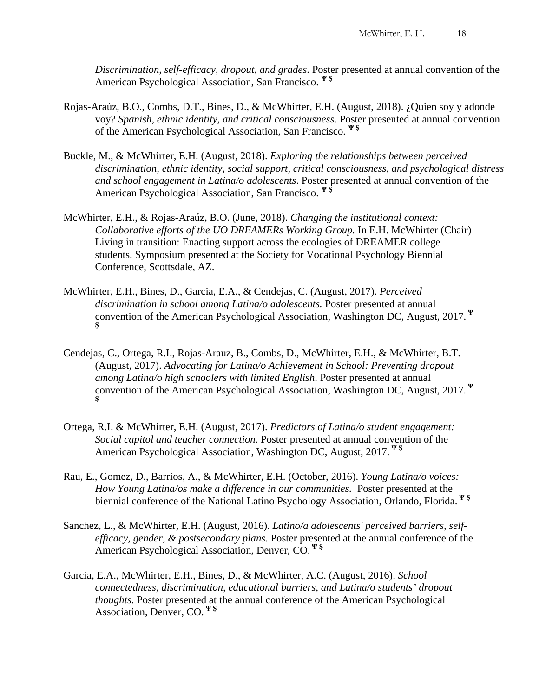*Discrimination, self-efficacy, dropout, and grades*. Poster presented at annual convention of the American Psychological Association, San Francisco. **<sup>Ψ</sup> <sup>Ş</sup>**

- Rojas-Araúz, B.O., Combs, D.T., Bines, D., & McWhirter, E.H. (August, 2018). ¿Quien soy y adonde voy? *Spanish, ethnic identity, and critical consciousness*. Poster presented at annual convention of the American Psychological Association, San Francisco. **Ψ Ş**
- Buckle, M., & McWhirter, E.H. (August, 2018). *Exploring the relationships between perceived discrimination, ethnic identity, social support, critical consciousness, and psychological distress and school engagement in Latina/o adolescents*. Poster presented at annual convention of the American Psychological Association, San Francisco. **Ψ Ş**
- McWhirter, E.H., & Rojas-Araúz, B.O. (June, 2018). *Changing the institutional context: Collaborative efforts of the UO DREAMERs Working Group.* In E.H. McWhirter (Chair) Living in transition: Enacting support across the ecologies of DREAMER college students. Symposium presented at the Society for Vocational Psychology Biennial Conference, Scottsdale, AZ.
- McWhirter, E.H., Bines, D., Garcia, E.A., & Cendejas, C. (August, 2017). *Perceived discrimination in school among Latina/o adolescents.* Poster presented at annual convention of the American Psychological Association, Washington DC, August, 2017. **<sup>Ψ</sup> Ş**
- Cendejas, C., Ortega, R.I., Rojas-Arauz, B., Combs, D., McWhirter, E.H., & McWhirter, B.T. (August, 2017). *Advocating for Latina/o Achievement in School: Preventing dropout among Latina/o high schoolers with limited English*. Poster presented at annual convention of the American Psychological Association, Washington DC, August, 2017. **<sup>Ψ</sup> Ş**
- Ortega, R.I. & McWhirter, E.H. (August, 2017). *Predictors of Latina/o student engagement: Social capitol and teacher connection.* Poster presented at annual convention of the American Psychological Association, Washington DC, August, 2017. **Ψ Ş**
- Rau, E., Gomez, D., Barrios, A., & McWhirter, E.H. (October, 2016). *Young Latina/o voices: How Young Latina/os make a difference in our communities.* Poster presented at the biennial conference of the National Latino Psychology Association, Orlando, Florida. **Ψ Ş**
- Sanchez, L., & McWhirter, E.H. (August, 2016). *Latino/a adolescents' perceived barriers, selfefficacy, gender, & postsecondary plans.* Poster presented at the annual conference of the American Psychological Association, Denver, CO. **Ψ Ş**
- Garcia, E.A., McWhirter, E.H., Bines, D., & McWhirter, A.C. (August, 2016). *School connectedness, discrimination, educational barriers, and Latina/o students' dropout thoughts*. Poster presented at the annual conference of the American Psychological Association, Denver, CO. **Ψ Ş**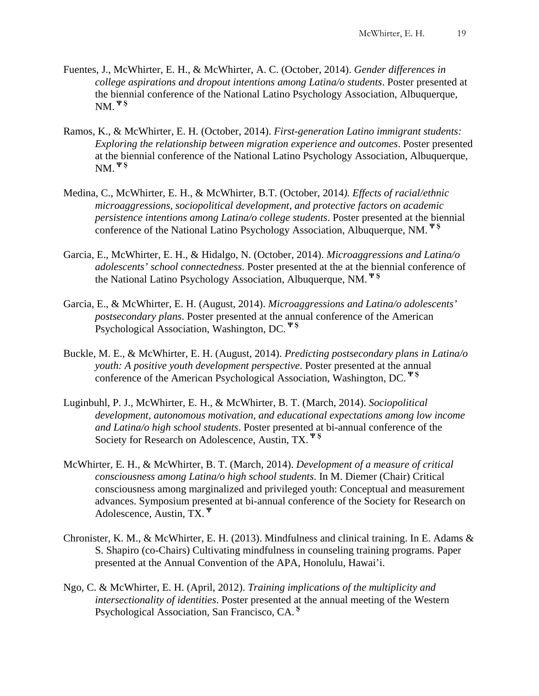- Fuentes, J., McWhirter, E. H., & McWhirter, A. C. (October, 2014). *Gender differences in college aspirations and dropout intentions among Latina/o students*. Poster presented at the biennial conference of the National Latino Psychology Association, Albuquerque, NM. **Ψ Ş**
- Ramos, K., & McWhirter, E. H. (October, 2014). *First-generation Latino immigrant students: Exploring the relationship between migration experience and outcomes*. Poster presented at the biennial conference of the National Latino Psychology Association, Albuquerque, NM. **Ψ Ş**
- Medina, C., McWhirter, E. H., & McWhirter, B.T. (October, 2014*). Effects of racial/ethnic microaggressions, sociopolitical development, and protective factors on academic persistence intentions among Latina/o college students*. Poster presented at the biennial conference of the National Latino Psychology Association, Albuquerque, NM. **Ψ Ş**
- Garcia, E., McWhirter, E. H., & Hidalgo, N. (October, 2014). *Microaggressions and Latina/o adolescents' school connectedness*. Poster presented at the at the biennial conference of the National Latino Psychology Association, Albuquerque, NM. **Ψ Ş**
- Garcia, E., & McWhirter, E. H. (August, 2014). *Microaggressions and Latina/o adolescents' postsecondary plans*. Poster presented at the annual conference of the American Psychological Association, Washington, DC. **Ψ Ş**
- Buckle, M. E., & McWhirter, E. H. (August, 2014). *Predicting postsecondary plans in Latina/o youth: A positive youth development perspective*. Poster presented at the annual conference of the American Psychological Association, Washington, DC. **Ψ Ş**
- Luginbuhl, P. J., McWhirter, E. H., & McWhirter, B. T. (March, 2014). *Sociopolitical development, autonomous motivation, and educational expectations among low income and Latina/o high school students*. Poster presented at bi-annual conference of the Society for Research on Adolescence, Austin, TX. **<sup>Ψ</sup> <sup>Ş</sup>**
- McWhirter, E. H., & McWhirter, B. T. (March, 2014). *Development of a measure of critical consciousness among Latina/o high school students*. In M. Diemer (Chair) Critical consciousness among marginalized and privileged youth: Conceptual and measurement advances. Symposium presented at bi-annual conference of the Society for Research on Adolescence, Austin, TX. **<sup>Ψ</sup>**
- Chronister, K. M., & McWhirter, E. H. (2013). Mindfulness and clinical training. In E. Adams  $\&$ S. Shapiro (co-Chairs) Cultivating mindfulness in counseling training programs. Paper presented at the Annual Convention of the APA, Honolulu, Hawai'i.
- Ngo, C. & McWhirter, E. H. (April, 2012). *Training implications of the multiplicity and intersectionality of identities*. Poster presented at the annual meeting of the Western Psychological Association, San Francisco, CA. **<sup>Ş</sup>**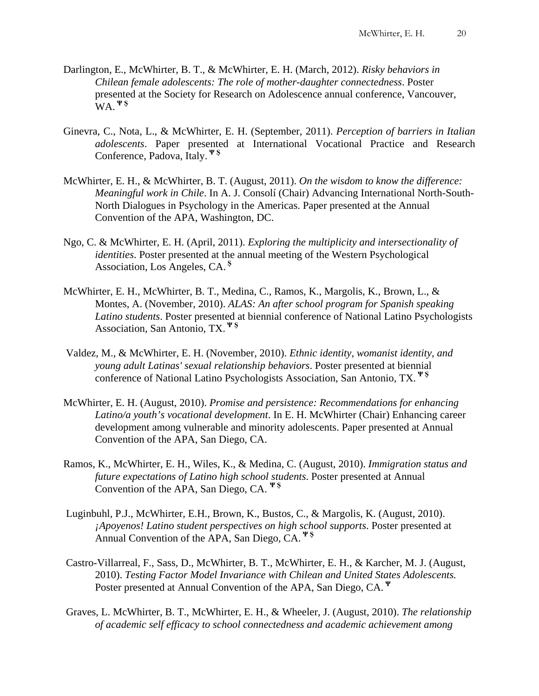- Darlington, E., McWhirter, B. T., & McWhirter, E. H. (March, 2012). *Risky behaviors in Chilean female adolescents: The role of mother-daughter connectedness*. Poster presented at the Society for Research on Adolescence annual conference, Vancouver, WA. **Ψ Ş**
- Ginevra, C., Nota, L., & McWhirter, E. H. (September, 2011). *Perception of barriers in Italian adolescents*. Paper presented at International Vocational Practice and Research Conference, Padova, Italy. **Ψ Ş**
- McWhirter, E. H., & McWhirter, B. T. (August, 2011). *On the wisdom to know the difference: Meaningful work in Chile*. In A. J. Consolí (Chair) Advancing International North-South-North Dialogues in Psychology in the Americas. Paper presented at the Annual Convention of the APA, Washington, DC.
- Ngo, C. & McWhirter, E. H. (April, 2011). *Exploring the multiplicity and intersectionality of identities*. Poster presented at the annual meeting of the Western Psychological Association, Los Angeles, CA. **Ş**
- McWhirter, E. H., McWhirter, B. T., Medina, C., Ramos, K., Margolis, K., Brown, L., & Montes, A. (November, 2010). *ALAS: An after school program for Spanish speaking Latino students*. Poster presented at biennial conference of National Latino Psychologists Association, San Antonio, TX. **Ψ Ş**
- Valdez, M., & McWhirter, E. H. (November, 2010). *Ethnic identity, womanist identity, and young adult Latinas' sexual relationship behaviors*. Poster presented at biennial conference of National Latino Psychologists Association, San Antonio, TX. **Ψ Ş**
- McWhirter, E. H. (August, 2010). *Promise and persistence: Recommendations for enhancing Latino/a youth's vocational development*. In E. H. McWhirter (Chair) Enhancing career development among vulnerable and minority adolescents. Paper presented at Annual Convention of the APA, San Diego, CA.
- Ramos, K., McWhirter, E. H., Wiles, K., & Medina, C. (August, 2010). *Immigration status and future expectations of Latino high school students*. Poster presented at Annual Convention of the APA, San Diego, CA. **Ψ Ş**
- Luginbuhl, P.J., McWhirter, E.H., Brown, K., Bustos, C., & Margolis, K. (August, 2010). *¡Apoyenos! Latino student perspectives on high school supports*. Poster presented at Annual Convention of the APA, San Diego, CA. **Ψ Ş**
- Castro-Villarreal, F., Sass, D., McWhirter, B. T., McWhirter, E. H., & Karcher, M. J. (August, 2010). *Testing Factor Model Invariance with Chilean and United States Adolescents.* Poster presented at Annual Convention of the APA, San Diego, CA. **<sup>Ψ</sup>**
- Graves, L. McWhirter, B. T., McWhirter, E. H., & Wheeler, J. (August, 2010). *The relationship of academic self efficacy to school connectedness and academic achievement among*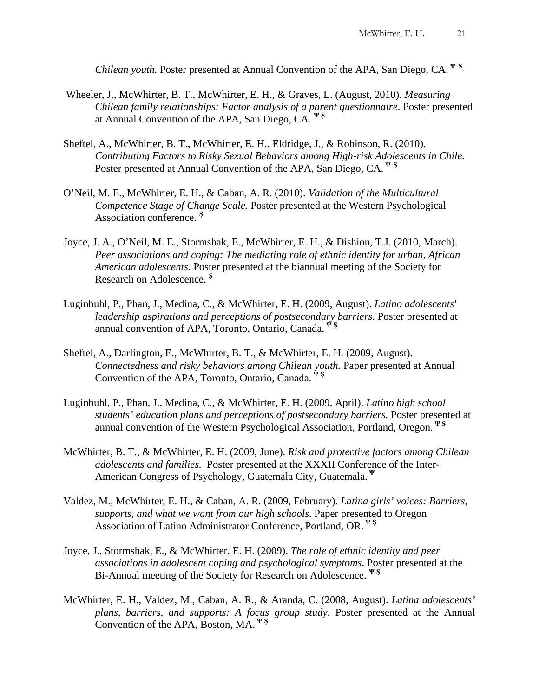*Chilean youth.* Poster presented at Annual Convention of the APA, San Diego, CA. **<sup>Ψ</sup> <sup>Ş</sup>**

- Wheeler, J., McWhirter, B. T., McWhirter, E. H., & Graves, L. (August, 2010). *Measuring Chilean family relationships: Factor analysis of a parent questionnaire*. Poster presented at Annual Convention of the APA, San Diego, CA. **Ψ Ş**
- Sheftel, A., McWhirter, B. T., McWhirter, E. H., Eldridge, J., & Robinson, R. (2010). *Contributing Factors to Risky Sexual Behaviors among High-risk Adolescents in Chile.* Poster presented at Annual Convention of the APA, San Diego, CA. **<sup>Ψ</sup> <sup>Ş</sup>**
- O'Neil, M. E., McWhirter, E. H., & Caban, A. R. (2010). *Validation of the Multicultural Competence Stage of Change Scale.* Poster presented at the Western Psychological Association conference. **<sup>Ş</sup>**
- Joyce, J. A., O'Neil, M. E., Stormshak, E., McWhirter, E. H., & Dishion, T.J. (2010, March). *Peer associations and coping: The mediating role of ethnic identity for urban, African American adolescents.* Poster presented at the biannual meeting of the Society for Research on Adolescence. **<sup>Ş</sup>**
- Luginbuhl, P., Phan, J., Medina, C., & McWhirter, E. H. (2009, August). *Latino adolescents' leadership aspirations and perceptions of postsecondary barriers*. Poster presented at annual convention of APA, Toronto, Ontario, Canada. **Ψ Ş**
- Sheftel, A., Darlington, E., McWhirter, B. T., & McWhirter, E. H. (2009, August). *Connectedness and risky behaviors among Chilean youth.* Paper presented at Annual Convention of the APA, Toronto, Ontario, Canada. **Ψ Ş**
- Luginbuhl, P., Phan, J., Medina, C., & McWhirter, E. H. (2009, April). *Latino high school students' education plans and perceptions of postsecondary barriers.* Poster presented at annual convention of the Western Psychological Association, Portland, Oregon. **Ψ Ş**
- McWhirter, B. T., & McWhirter, E. H. (2009, June). *Risk and protective factors among Chilean adolescents and families.* Poster presented at the XXXII Conference of the Inter-American Congress of Psychology, Guatemala City, Guatemala. **<sup>Ψ</sup>**
- Valdez, M., McWhirter, E. H., & Caban, A. R. (2009, February). *Latina girls' voices: Barriers, supports, and what we want from our high schools*. Paper presented to Oregon Association of Latino Administrator Conference, Portland, OR. **Ψ Ş**
- Joyce, J., Stormshak, E., & McWhirter, E. H. (2009). *The role of ethnic identity and peer associations in adolescent coping and psychological symptoms*. Poster presented at the Bi-Annual meeting of the Society for Research on Adolescence. **Ψ Ş**
- McWhirter, E. H., Valdez, M., Caban, A. R., & Aranda, C. (2008, August). *Latina adolescents' plans, barriers, and supports: A focus group study*. Poster presented at the Annual Convention of the APA, Boston, MA. **Ψ Ş**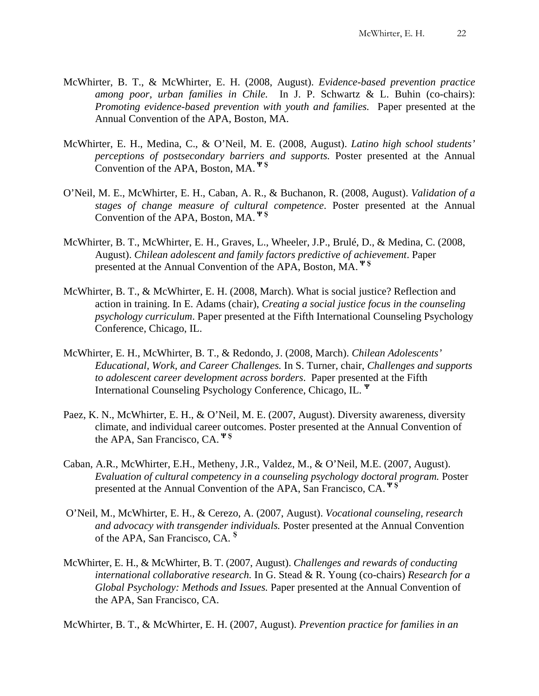- McWhirter, B. T., & McWhirter, E. H. (2008, August). *Evidence-based prevention practice among poor, urban families in Chile.* In J. P. Schwartz & L. Buhin (co-chairs): *Promoting evidence-based prevention with youth and families.* Paper presented at the Annual Convention of the APA, Boston, MA.
- McWhirter, E. H., Medina, C., & O'Neil, M. E. (2008, August). *Latino high school students' perceptions of postsecondary barriers and supports.* Poster presented at the Annual Convention of the APA, Boston, MA. **Ψ Ş**
- O'Neil, M. E., McWhirter, E. H., Caban, A. R., & Buchanon, R. (2008, August). *Validation of a stages of change measure of cultural competence*. Poster presented at the Annual Convention of the APA, Boston, MA. **Ψ Ş**
- McWhirter, B. T., McWhirter, E. H., Graves, L., Wheeler, J.P., Brulé, D., & Medina, C. (2008, August). *Chilean adolescent and family factors predictive of achievement*. Paper presented at the Annual Convention of the APA, Boston, MA. **Ψ Ş**
- McWhirter, B. T., & McWhirter, E. H. (2008, March). What is social justice? Reflection and action in training. In E. Adams (chair), *Creating a social justice focus in the counseling psychology curriculum*. Paper presented at the Fifth International Counseling Psychology Conference, Chicago, IL.
- McWhirter, E. H., McWhirter, B. T., & Redondo, J. (2008, March). *Chilean Adolescents' Educational, Work, and Career Challenges.* In S. Turner, chair, *Challenges and supports to adolescent career development across borders*. Paper presented at the Fifth International Counseling Psychology Conference, Chicago, IL. **<sup>Ψ</sup>**
- Paez, K. N., McWhirter, E. H., & O'Neil, M. E. (2007, August). Diversity awareness, diversity climate, and individual career outcomes. Poster presented at the Annual Convention of the APA, San Francisco, CA. **<sup>Ψ</sup> <sup>Ş</sup>**
- Caban, A.R., McWhirter, E.H., Metheny, J.R., Valdez, M., & O'Neil, M.E. (2007, August). *Evaluation of cultural competency in a counseling psychology doctoral program.* Poster presented at the Annual Convention of the APA, San Francisco, CA. **Ψ Ş**
- O'Neil, M., McWhirter, E. H., & Cerezo, A. (2007, August). *Vocational counseling, research and advocacy with transgender individuals.* Poster presented at the Annual Convention of the APA, San Francisco, CA. **<sup>Ş</sup>**
- McWhirter, E. H., & McWhirter, B. T. (2007, August). *Challenges and rewards of conducting international collaborative research.* In G. Stead & R. Young (co-chairs) *Research for a Global Psychology: Methods and Issues.* Paper presented at the Annual Convention of the APA, San Francisco, CA.

McWhirter, B. T., & McWhirter, E. H. (2007, August). *Prevention practice for families in an*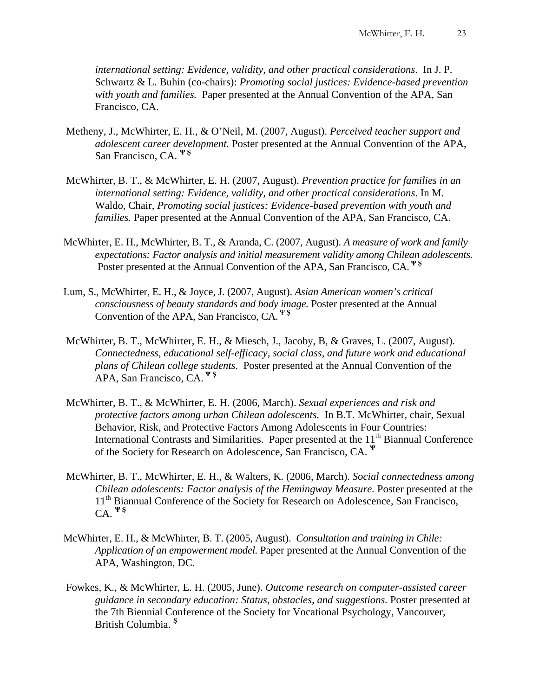*international setting: Evidence, validity, and other practical considerations*. In J. P. Schwartz & L. Buhin (co-chairs): *Promoting social justices: Evidence-based prevention with youth and families.* Paper presented at the Annual Convention of the APA, San Francisco, CA.

- Metheny, J., McWhirter, E. H., & O'Neil, M. (2007, August). *Perceived teacher support and adolescent career development.* Poster presented at the Annual Convention of the APA, San Francisco, CA. **Ψ Ş**
- McWhirter, B. T., & McWhirter, E. H. (2007, August). *Prevention practice for families in an international setting: Evidence, validity, and other practical considerations*. In M. Waldo, Chair, *Promoting social justices: Evidence-based prevention with youth and families.* Paper presented at the Annual Convention of the APA, San Francisco, CA.
- McWhirter, E. H., McWhirter, B. T., & Aranda, C. (2007, August). *A measure of work and family expectations: Factor analysis and initial measurement validity among Chilean adolescents.* Poster presented at the Annual Convention of the APA, San Francisco, CA. **Ψ Ş**
- Lum, S., McWhirter, E. H., & Joyce, J. (2007, August). *Asian American women's critical consciousness of beauty standards and body image.* Poster presented at the Annual Convention of the APA, San Francisco, CA. <sup>Ψ</sup> **<sup>Ş</sup>**
- McWhirter, B. T., McWhirter, E. H., & Miesch, J., Jacoby, B, & Graves, L. (2007, August). *Connectedness, educational self-efficacy, social class, and future work and educational plans of Chilean college students.* Poster presented at the Annual Convention of the APA, San Francisco, CA. **Ψ Ş**
- McWhirter, B. T., & McWhirter, E. H. (2006, March). *Sexual experiences and risk and protective factors among urban Chilean adolescents.* In B.T. McWhirter, chair, Sexual Behavior, Risk, and Protective Factors Among Adolescents in Four Countries: International Contrasts and Similarities. Paper presented at the 11<sup>th</sup> Biannual Conference of the Society for Research on Adolescence, San Francisco, CA. **<sup>Ψ</sup>**
- McWhirter, B. T., McWhirter, E. H., & Walters, K. (2006, March). *Social connectedness among Chilean adolescents: Factor analysis of the Hemingway Measure.* Poster presented at the 11<sup>th</sup> Biannual Conference of the Society for Research on Adolescence, San Francisco, CA. **Ψ Ş**
- McWhirter, E. H., & McWhirter, B. T. (2005, August). *Consultation and training in Chile: Application of an empowerment model.* Paper presented at the Annual Convention of the APA, Washington, DC.
- Fowkes, K., & McWhirter, E. H. (2005, June). *Outcome research on computer-assisted career guidance in secondary education: Status, obstacles, and suggestions.* Poster presented at the 7th Biennial Conference of the Society for Vocational Psychology, Vancouver, British Columbia. **<sup>Ş</sup>**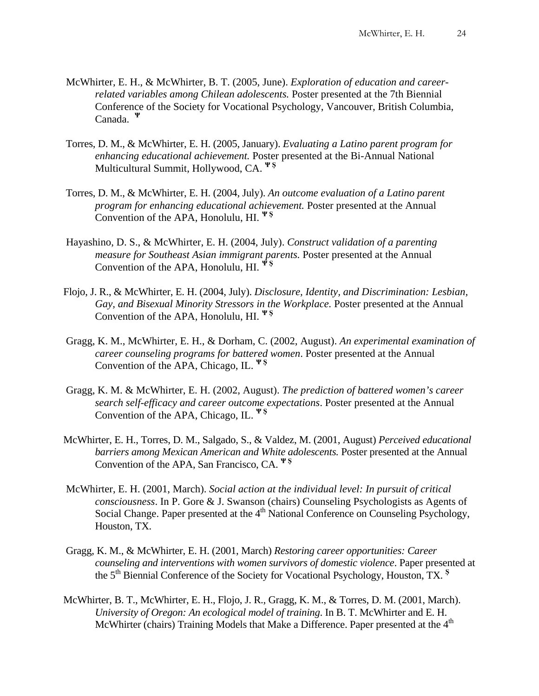- McWhirter, E. H., & McWhirter, B. T. (2005, June). *Exploration of education and careerrelated variables among Chilean adolescents.* Poster presented at the 7th Biennial Conference of the Society for Vocational Psychology, Vancouver, British Columbia, Canada. **<sup>Ψ</sup>**
- Torres, D. M., & McWhirter, E. H. (2005, January). *Evaluating a Latino parent program for enhancing educational achievement.* Poster presented at the Bi-Annual National Multicultural Summit, Hollywood, CA. **Ψ Ş**
- Torres, D. M., & McWhirter, E. H. (2004, July). *An outcome evaluation of a Latino parent program for enhancing educational achievement.* Poster presented at the Annual Convention of the APA, Honolulu, HI. **Ψ Ş**
- Hayashino, D. S., & McWhirter, E. H. (2004, July). *Construct validation of a parenting measure for Southeast Asian immigrant parents.* Poster presented at the Annual Convention of the APA, Honolulu, HI. **Ψ Ş**
- Flojo, J. R., & McWhirter, E. H. (2004, July). *Disclosure, Identity, and Discrimination: Lesbian, Gay, and Bisexual Minority Stressors in the Workplace.* Poster presented at the Annual Convention of the APA, Honolulu, HI. **Ψ Ş**
- Gragg, K. M., McWhirter, E. H., & Dorham, C. (2002, August). *An experimental examination of career counseling programs for battered women*. Poster presented at the Annual Convention of the APA, Chicago, IL. **Ψ Ş**
- Gragg, K. M. & McWhirter, E. H. (2002, August). *The prediction of battered women's career search self-efficacy and career outcome expectations*. Poster presented at the Annual Convention of the APA, Chicago, IL. **Ψ Ş**
- McWhirter, E. H., Torres, D. M., Salgado, S., & Valdez, M. (2001, August) *Perceived educational barriers among Mexican American and White adolescents.* Poster presented at the Annual Convention of the APA, San Francisco, CA. **Ψ Ş**
- McWhirter, E. H. (2001, March). *Social action at the individual level: In pursuit of critical consciousness*. In P. Gore & J. Swanson (chairs) Counseling Psychologists as Agents of Social Change. Paper presented at the 4<sup>th</sup> National Conference on Counseling Psychology, Houston, TX.
- Gragg, K. M., & McWhirter, E. H. (2001, March) *Restoring career opportunities: Career counseling and interventions with women survivors of domestic violence*. Paper presented at the 5th Biennial Conference of the Society for Vocational Psychology, Houston, TX. **<sup>Ş</sup>**
- McWhirter, B. T., McWhirter, E. H., Flojo, J. R., Gragg, K. M., & Torres, D. M. (2001, March). *University of Oregon: An ecological model of training*. In B. T. McWhirter and E. H. McWhirter (chairs) Training Models that Make a Difference. Paper presented at the 4<sup>th</sup>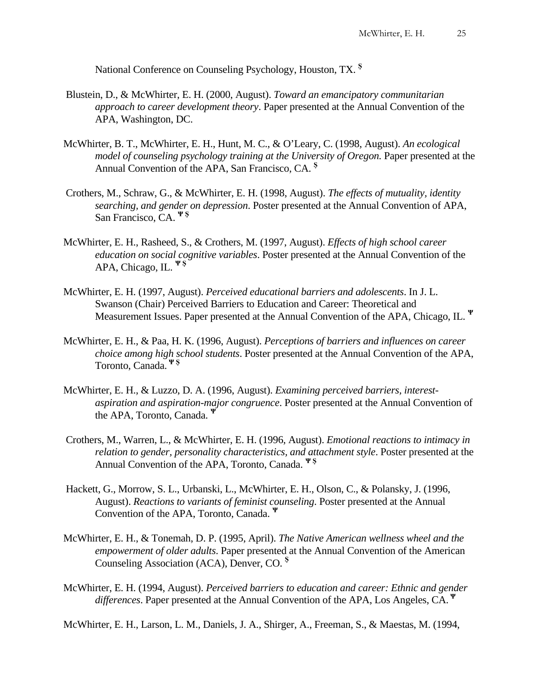National Conference on Counseling Psychology, Houston, TX. **<sup>Ş</sup>**

- Blustein, D., & McWhirter, E. H. (2000, August). *Toward an emancipatory communitarian approach to career development theory*. Paper presented at the Annual Convention of the APA, Washington, DC.
- McWhirter, B. T., McWhirter, E. H., Hunt, M. C., & O'Leary, C. (1998, August). *An ecological model of counseling psychology training at the University of Oregon.* Paper presented at the Annual Convention of the APA, San Francisco, CA. **<sup>Ş</sup>**
- Crothers, M., Schraw, G., & McWhirter, E. H. (1998, August). *The effects of mutuality, identity searching, and gender on depression*. Poster presented at the Annual Convention of APA, San Francisco, CA. **Ψ Ş**
- McWhirter, E. H., Rasheed, S., & Crothers, M. (1997, August). *Effects of high school career education on social cognitive variables*. Poster presented at the Annual Convention of the APA, Chicago, IL. **Ψ Ş**
- McWhirter, E. H. (1997, August). *Perceived educational barriers and adolescents*. In J. L. Swanson (Chair) Perceived Barriers to Education and Career: Theoretical and Measurement Issues. Paper presented at the Annual Convention of the APA, Chicago, IL. **<sup>Ψ</sup>**
- McWhirter, E. H., & Paa, H. K. (1996, August). *Perceptions of barriers and influences on career choice among high school students*. Poster presented at the Annual Convention of the APA, Toronto, Canada. **Ψ Ş**
- McWhirter, E. H., & Luzzo, D. A. (1996, August). *Examining perceived barriers, interestaspiration and aspiration-major congruence*. Poster presented at the Annual Convention of the APA, Toronto, Canada. **<sup>Ψ</sup>**
- Crothers, M., Warren, L., & McWhirter, E. H. (1996, August). *Emotional reactions to intimacy in relation to gender, personality characteristics, and attachment style*. Poster presented at the Annual Convention of the APA, Toronto, Canada. **Ψ Ş**
- Hackett, G., Morrow, S. L., Urbanski, L., McWhirter, E. H., Olson, C., & Polansky, J. (1996, August). *Reactions to variants of feminist counseling*. Poster presented at the Annual Convention of the APA, Toronto, Canada. **<sup>Ψ</sup>**
- McWhirter, E. H., & Tonemah, D. P. (1995, April). *The Native American wellness wheel and the empowerment of older adults*. Paper presented at the Annual Convention of the American Counseling Association (ACA), Denver, CO. **<sup>Ş</sup>**
- McWhirter, E. H. (1994, August). *Perceived barriers to education and career: Ethnic and gender differences*. Paper presented at the Annual Convention of the APA, Los Angeles, CA. **<sup>Ψ</sup>**

McWhirter, E. H., Larson, L. M., Daniels, J. A., Shirger, A., Freeman, S., & Maestas, M. (1994,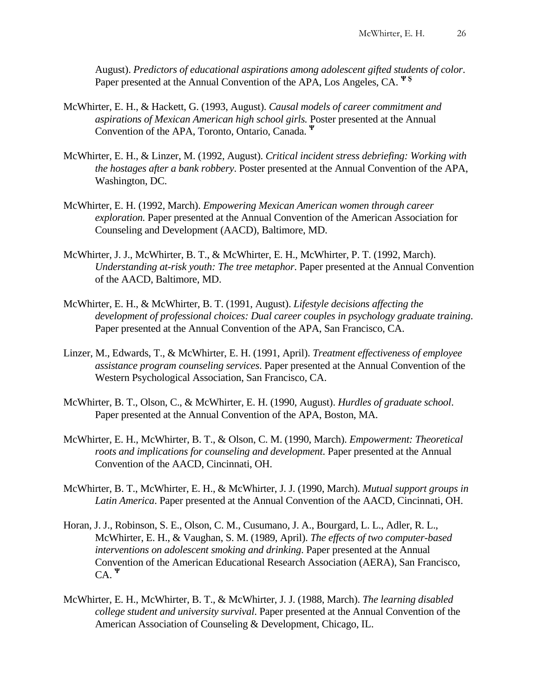August). *Predictors of educational aspirations among adolescent gifted students of color*. Paper presented at the Annual Convention of the APA, Los Angeles, CA. **Ψ Ş**

- McWhirter, E. H., & Hackett, G. (1993, August). *Causal models of career commitment and aspirations of Mexican American high school girls.* Poster presented at the Annual Convention of the APA, Toronto, Ontario, Canada. **<sup>Ψ</sup>**
- McWhirter, E. H., & Linzer, M. (1992, August). *Critical incident stress debriefing: Working with the hostages after a bank robbery*. Poster presented at the Annual Convention of the APA, Washington, DC.
- McWhirter, E. H. (1992, March). *Empowering Mexican American women through career exploration.* Paper presented at the Annual Convention of the American Association for Counseling and Development (AACD), Baltimore, MD.
- McWhirter, J. J., McWhirter, B. T., & McWhirter, E. H., McWhirter, P. T. (1992, March). *Understanding at-risk youth: The tree metaphor*. Paper presented at the Annual Convention of the AACD, Baltimore, MD.
- McWhirter, E. H., & McWhirter, B. T. (1991, August). *Lifestyle decisions affecting the development of professional choices: Dual career couples in psychology graduate training*. Paper presented at the Annual Convention of the APA, San Francisco, CA.
- Linzer, M., Edwards, T., & McWhirter, E. H. (1991, April). *Treatment effectiveness of employee assistance program counseling services*. Paper presented at the Annual Convention of the Western Psychological Association, San Francisco, CA.
- McWhirter, B. T., Olson, C., & McWhirter, E. H. (1990, August). *Hurdles of graduate school*. Paper presented at the Annual Convention of the APA, Boston, MA.
- McWhirter, E. H., McWhirter, B. T., & Olson, C. M. (1990, March). *Empowerment: Theoretical roots and implications for counseling and development*. Paper presented at the Annual Convention of the AACD, Cincinnati, OH.
- McWhirter, B. T., McWhirter, E. H., & McWhirter, J. J. (1990, March). *Mutual support groups in Latin America*. Paper presented at the Annual Convention of the AACD, Cincinnati, OH.
- Horan, J. J., Robinson, S. E., Olson, C. M., Cusumano, J. A., Bourgard, L. L., Adler, R. L., McWhirter, E. H., & Vaughan, S. M. (1989, April). *The effects of two computer-based interventions on adolescent smoking and drinking*. Paper presented at the Annual Convention of the American Educational Research Association (AERA), San Francisco, CA. **<sup>Ψ</sup>**
- McWhirter, E. H., McWhirter, B. T., & McWhirter, J. J. (1988, March). *The learning disabled college student and university survival*. Paper presented at the Annual Convention of the American Association of Counseling & Development, Chicago, IL.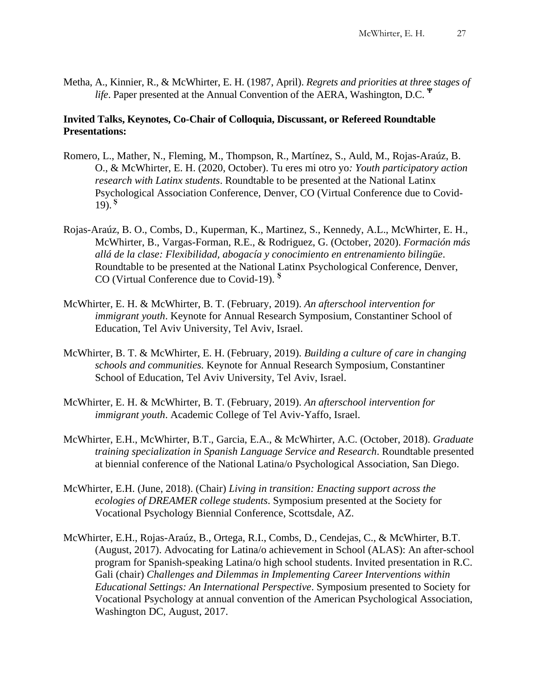Metha, A., Kinnier, R., & McWhirter, E. H. (1987, April). *Regrets and priorities at three stages of life*. Paper presented at the Annual Convention of the AERA, Washington, D.C. **<sup>Ψ</sup>**

## **Invited Talks, Keynotes, Co-Chair of Colloquia, Discussant, or Refereed Roundtable Presentations:**

- Romero, L., Mather, N., Fleming, M., Thompson, R., Martínez, S., Auld, M., Rojas-Araúz, B. O., & McWhirter, E. H. (2020, October). Tu eres mi otro yo*: Youth participatory action research with Latinx students*. Roundtable to be presented at the National Latinx Psychological Association Conference, Denver, CO (Virtual Conference due to Covid-19). **Ş**
- Rojas-Araúz, B. O., Combs, D., Kuperman, K., Martinez, S., Kennedy, A.L., McWhirter, E. H., McWhirter, B., Vargas-Forman, R.E., & Rodriguez, G. (October, 2020). *Formación más allá de la clase: Flexibilidad, abogacía y conocimiento en entrenamiento bilingüe*. Roundtable to be presented at the National Latinx Psychological Conference, Denver, CO (Virtual Conference due to Covid-19). **<sup>Ş</sup>**
- McWhirter, E. H. & McWhirter, B. T. (February, 2019). *An afterschool intervention for immigrant youth*. Keynote for Annual Research Symposium, Constantiner School of Education, Tel Aviv University, Tel Aviv, Israel.
- McWhirter, B. T. & McWhirter, E. H. (February, 2019). *Building a culture of care in changing schools and communities.* Keynote for Annual Research Symposium, Constantiner School of Education, Tel Aviv University, Tel Aviv, Israel.
- McWhirter, E. H. & McWhirter, B. T. (February, 2019). *An afterschool intervention for immigrant youth*. Academic College of Tel Aviv-Yaffo, Israel.
- McWhirter, E.H., McWhirter, B.T., Garcia, E.A., & McWhirter, A.C. (October, 2018). *Graduate training specialization in Spanish Language Service and Research*. Roundtable presented at biennial conference of the National Latina/o Psychological Association, San Diego.
- McWhirter, E.H. (June, 2018). (Chair) *Living in transition: Enacting support across the ecologies of DREAMER college students*. Symposium presented at the Society for Vocational Psychology Biennial Conference, Scottsdale, AZ.
- McWhirter, E.H., Rojas-Araúz, B., Ortega, R.I., Combs, D., Cendejas, C., & McWhirter, B.T. (August, 2017). Advocating for Latina/o achievement in School (ALAS): An after-school program for Spanish-speaking Latina/o high school students. Invited presentation in R.C. Gali (chair) *Challenges and Dilemmas in Implementing Career Interventions within Educational Settings: An International Perspective*. Symposium presented to Society for Vocational Psychology at annual convention of the American Psychological Association, Washington DC, August, 2017.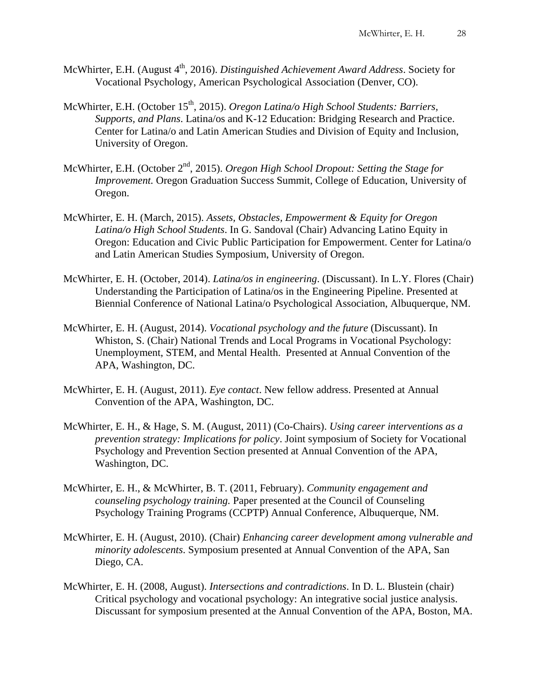- McWhirter, E.H. (August 4<sup>th</sup>, 2016). *Distinguished Achievement Award Address*. Society for Vocational Psychology, American Psychological Association (Denver, CO).
- McWhirter, E.H. (October 15<sup>th</sup>, 2015). *Oregon Latina/o High School Students: Barriers, Supports, and Plans*. Latina/os and K-12 Education: Bridging Research and Practice. Center for Latina/o and Latin American Studies and Division of Equity and Inclusion, University of Oregon.
- McWhirter, E.H. (October 2<sup>nd</sup>, 2015). *Oregon High School Dropout: Setting the Stage for Improvement.* Oregon Graduation Success Summit, College of Education, University of Oregon.
- McWhirter, E. H. (March, 2015). *Assets, Obstacles, Empowerment & Equity for Oregon Latina/o High School Students*. In G. Sandoval (Chair) Advancing Latino Equity in Oregon: Education and Civic Public Participation for Empowerment. Center for Latina/o and Latin American Studies Symposium, University of Oregon.
- McWhirter, E. H. (October, 2014). *Latina/os in engineering*. (Discussant). In L.Y. Flores (Chair) Understanding the Participation of Latina/os in the Engineering Pipeline. Presented at Biennial Conference of National Latina/o Psychological Association, Albuquerque, NM.
- McWhirter, E. H. (August, 2014). *Vocational psychology and the future* (Discussant). In Whiston, S. (Chair) National Trends and Local Programs in Vocational Psychology: Unemployment, STEM, and Mental Health. Presented at Annual Convention of the APA, Washington, DC.
- McWhirter, E. H. (August, 2011). *Eye contact*. New fellow address. Presented at Annual Convention of the APA, Washington, DC.
- McWhirter, E. H., & Hage, S. M. (August, 2011) (Co-Chairs). *Using career interventions as a prevention strategy: Implications for policy*. Joint symposium of Society for Vocational Psychology and Prevention Section presented at Annual Convention of the APA, Washington, DC.
- McWhirter, E. H., & McWhirter, B. T. (2011, February). *Community engagement and counseling psychology training.* Paper presented at the Council of Counseling Psychology Training Programs (CCPTP) Annual Conference, Albuquerque, NM.
- McWhirter, E. H. (August, 2010). (Chair) *Enhancing career development among vulnerable and minority adolescents*. Symposium presented at Annual Convention of the APA, San Diego, CA.
- McWhirter, E. H. (2008, August). *Intersections and contradictions*. In D. L. Blustein (chair) Critical psychology and vocational psychology: An integrative social justice analysis. Discussant for symposium presented at the Annual Convention of the APA, Boston, MA.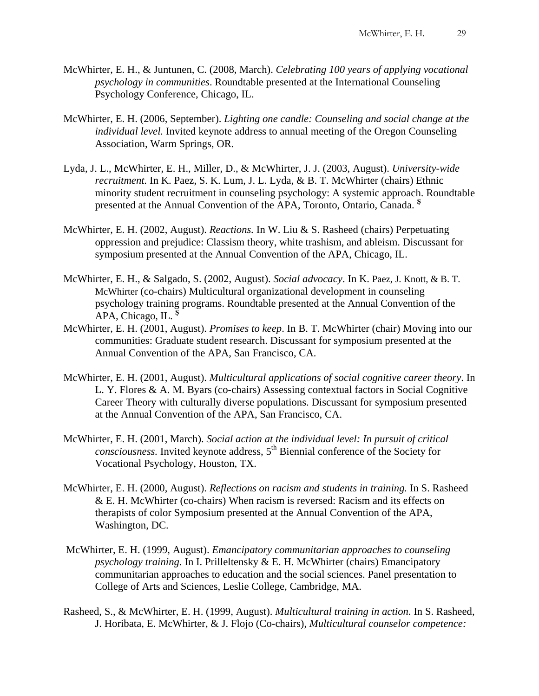- McWhirter, E. H., & Juntunen, C. (2008, March). *Celebrating 100 years of applying vocational psychology in communities*. Roundtable presented at the International Counseling Psychology Conference, Chicago, IL.
- McWhirter, E. H. (2006, September). *Lighting one candle: Counseling and social change at the individual level.* Invited keynote address to annual meeting of the Oregon Counseling Association, Warm Springs, OR.
- Lyda, J. L., McWhirter, E. H., Miller, D., & McWhirter, J. J. (2003, August). *University-wide recruitment.* In K. Paez, S. K. Lum, J. L. Lyda, & B. T. McWhirter (chairs) Ethnic minority student recruitment in counseling psychology: A systemic approach. Roundtable presented at the Annual Convention of the APA, Toronto, Ontario, Canada. **<sup>Ş</sup>**
- McWhirter, E. H. (2002, August). *Reactions.* In W. Liu & S. Rasheed (chairs) Perpetuating oppression and prejudice: Classism theory, white trashism, and ableism. Discussant for symposium presented at the Annual Convention of the APA, Chicago, IL.
- McWhirter, E. H., & Salgado, S. (2002, August). *Social advocacy*. In K. Paez, J. Knott, & B. T. McWhirter (co-chairs) Multicultural organizational development in counseling psychology training programs. Roundtable presented at the Annual Convention of the APA, Chicago, IL. **<sup>Ş</sup>**
- McWhirter, E. H. (2001, August). *Promises to keep*. In B. T. McWhirter (chair) Moving into our communities: Graduate student research. Discussant for symposium presented at the Annual Convention of the APA, San Francisco, CA.
- McWhirter, E. H. (2001, August). *Multicultural applications of social cognitive career theory*. In L. Y. Flores & A. M. Byars (co-chairs) Assessing contextual factors in Social Cognitive Career Theory with culturally diverse populations. Discussant for symposium presented at the Annual Convention of the APA, San Francisco, CA.
- McWhirter, E. H. (2001, March). *Social action at the individual level: In pursuit of critical*   $consciousness$ . Invited keynote address,  $5<sup>th</sup>$  Biennial conference of the Society for Vocational Psychology, Houston, TX.
- McWhirter, E. H. (2000, August). *Reflections on racism and students in training.* In S. Rasheed & E. H. McWhirter (co-chairs) When racism is reversed: Racism and its effects on therapists of color Symposium presented at the Annual Convention of the APA, Washington, DC.
- McWhirter, E. H. (1999, August). *Emancipatory communitarian approaches to counseling psychology training.* In I. Prilleltensky & E. H. McWhirter (chairs) Emancipatory communitarian approaches to education and the social sciences. Panel presentation to College of Arts and Sciences, Leslie College, Cambridge, MA.
- Rasheed, S., & McWhirter, E. H. (1999, August). *Multicultural training in action*. In S. Rasheed, J. Horibata, E. McWhirter, & J. Flojo (Co-chairs), *Multicultural counselor competence:*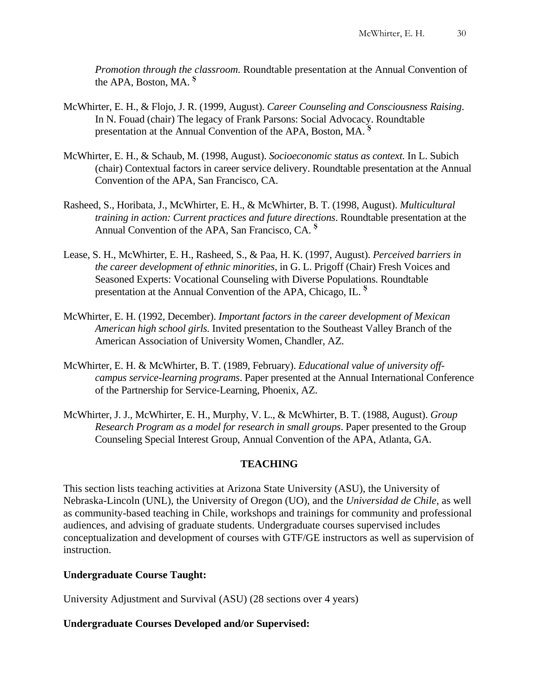*Promotion through the classroom.* Roundtable presentation at the Annual Convention of the APA, Boston, MA. **<sup>Ş</sup>**

- McWhirter, E. H., & Flojo, J. R. (1999, August). *Career Counseling and Consciousness Raising*. In N. Fouad (chair) The legacy of Frank Parsons: Social Advocacy. Roundtable presentation at the Annual Convention of the APA, Boston, MA. **<sup>Ş</sup>**
- McWhirter, E. H., & Schaub, M. (1998, August). *Socioeconomic status as context.* In L. Subich (chair) Contextual factors in career service delivery. Roundtable presentation at the Annual Convention of the APA, San Francisco, CA.
- Rasheed, S., Horibata, J., McWhirter, E. H., & McWhirter, B. T. (1998, August). *Multicultural training in action: Current practices and future directions*. Roundtable presentation at the Annual Convention of the APA, San Francisco, CA. **<sup>Ş</sup>**
- Lease, S. H., McWhirter, E. H., Rasheed, S., & Paa, H. K. (1997, August). *Perceived barriers in the career development of ethnic minorities*, in G. L. Prigoff (Chair) Fresh Voices and Seasoned Experts: Vocational Counseling with Diverse Populations. Roundtable presentation at the Annual Convention of the APA, Chicago, IL. **<sup>Ş</sup>**
- McWhirter, E. H. (1992, December). *Important factors in the career development of Mexican American high school girls.* Invited presentation to the Southeast Valley Branch of the American Association of University Women, Chandler, AZ.
- McWhirter, E. H. & McWhirter, B. T. (1989, February). *Educational value of university offcampus service-learning programs*. Paper presented at the Annual International Conference of the Partnership for Service-Learning, Phoenix, AZ.
- McWhirter, J. J., McWhirter, E. H., Murphy, V. L., & McWhirter, B. T. (1988, August). *Group Research Program as a model for research in small groups*. Paper presented to the Group Counseling Special Interest Group, Annual Convention of the APA, Atlanta, GA.

## **TEACHING**

This section lists teaching activities at Arizona State University (ASU), the University of Nebraska-Lincoln (UNL), the University of Oregon (UO), and the *Universidad de Chile*, as well as community-based teaching in Chile, workshops and trainings for community and professional audiences, and advising of graduate students. Undergraduate courses supervised includes conceptualization and development of courses with GTF/GE instructors as well as supervision of instruction.

## **Undergraduate Course Taught:**

University Adjustment and Survival (ASU) (28 sections over 4 years)

## **Undergraduate Courses Developed and/or Supervised:**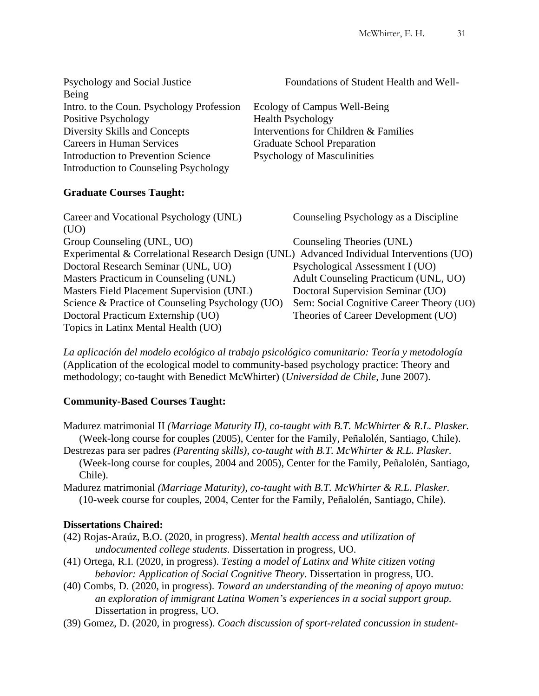| Psychology and Social Justice                    | Foundations of Student Health and Well-                                                   |
|--------------------------------------------------|-------------------------------------------------------------------------------------------|
| Being                                            |                                                                                           |
| Intro. to the Coun. Psychology Profession        | Ecology of Campus Well-Being                                                              |
| Positive Psychology                              | <b>Health Psychology</b>                                                                  |
| Diversity Skills and Concepts                    | Interventions for Children & Families                                                     |
| <b>Careers in Human Services</b>                 | <b>Graduate School Preparation</b>                                                        |
| <b>Introduction to Prevention Science</b>        | <b>Psychology of Masculinities</b>                                                        |
| <b>Introduction to Counseling Psychology</b>     |                                                                                           |
| <b>Graduate Courses Taught:</b>                  |                                                                                           |
| Career and Vocational Psychology (UNL)           | Counseling Psychology as a Discipline                                                     |
| (UO)                                             |                                                                                           |
| Group Counseling (UNL, UO)                       | Counseling Theories (UNL)                                                                 |
|                                                  | Experimental & Correlational Research Design (UNL) Advanced Individual Interventions (UO) |
| Doctoral Research Seminar (UNL, UO)              | Psychological Assessment I (UO)                                                           |
| Masters Practicum in Counseling (UNL)            | Adult Counseling Practicum (UNL, UO)                                                      |
| Masters Field Placement Supervision (UNL)        | Doctoral Supervision Seminar (UO)                                                         |
| Science & Practice of Counseling Psychology (UO) | Sem: Social Cognitive Career Theory (UO)                                                  |
| Doctoral Practicum Externship (UO)               | Theories of Career Development (UO)                                                       |
| Topics in Latinx Mental Health (UO)              |                                                                                           |

*La aplicación del modelo ecológico al trabajo psicológico comunitario: Teoría y metodología* (Application of the ecological model to community-based psychology practice: Theory and methodology; co-taught with Benedict McWhirter) (*Universidad de Chile*, June 2007).

## **Community-Based Courses Taught:**

- Madurez matrimonial II *(Marriage Maturity II), co-taught with B.T. McWhirter & R.L. Plasker.* (Week-long course for couples (2005), Center for the Family, Peñalolén, Santiago, Chile).
- Destrezas para ser padres *(Parenting skills), co-taught with B.T. McWhirter & R.L. Plasker.* (Week-long course for couples, 2004 and 2005), Center for the Family, Peñalolén, Santiago, Chile).
- Madurez matrimonial *(Marriage Maturity), co-taught with B.T. McWhirter & R.L. Plasker.* (10-week course for couples, 2004, Center for the Family, Peñalolén, Santiago, Chile).

## **Dissertations Chaired:**

- (42) Rojas-Araúz, B.O. (2020, in progress). *Mental health access and utilization of undocumented college students*. Dissertation in progress, UO.
- (41) Ortega, R.I. (2020, in progress). *Testing a model of Latinx and White citizen voting behavior: Application of Social Cognitive Theory.* Dissertation in progress, UO.
- (40) Combs, D. (2020, in progress). *Toward an understanding of the meaning of apoyo mutuo: an exploration of immigrant Latina Women's experiences in a social support group.* Dissertation in progress, UO.
- (39) Gomez, D. (2020, in progress). *Coach discussion of sport-related concussion in student-*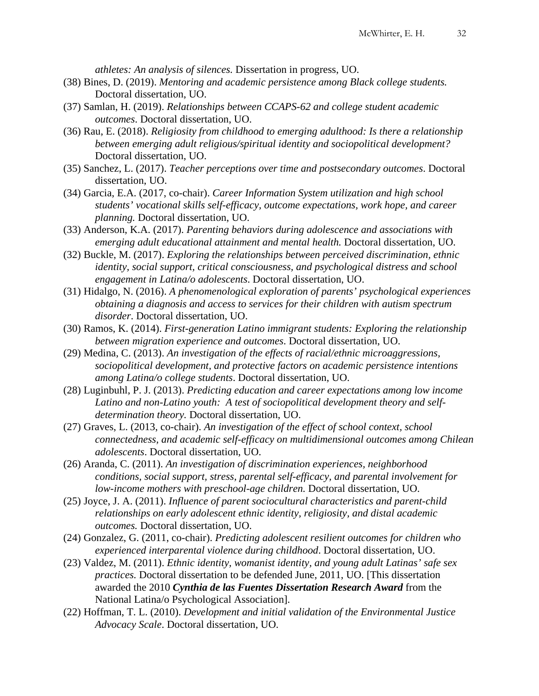*athletes: An analysis of silences.* Dissertation in progress, UO.

- (38) Bines, D. (2019). *Mentoring and academic persistence among Black college students.* Doctoral dissertation, UO.
- (37) Samlan, H. (2019). *Relationships between CCAPS-62 and college student academic outcomes*. Doctoral dissertation, UO.
- (36) Rau, E. (2018). *Religiosity from childhood to emerging adulthood: Is there a relationship between emerging adult religious/spiritual identity and sociopolitical development?* Doctoral dissertation, UO.
- (35) Sanchez, L. (2017). *Teacher perceptions over time and postsecondary outcomes*. Doctoral dissertation, UO.
- (34) Garcia, E.A. (2017, co-chair). *Career Information System utilization and high school students' vocational skills self-efficacy, outcome expectations, work hope, and career planning.* Doctoral dissertation, UO.
- (33) Anderson, K.A. (2017). *Parenting behaviors during adolescence and associations with emerging adult educational attainment and mental health.* Doctoral dissertation, UO.
- (32) Buckle, M. (2017). *Exploring the relationships between perceived discrimination, ethnic identity, social support, critical consciousness, and psychological distress and school engagement in Latina/o adolescents*. Doctoral dissertation, UO.
- (31) Hidalgo, N. (2016). *A phenomenological exploration of parents' psychological experiences obtaining a diagnosis and access to services for their children with autism spectrum disorder*. Doctoral dissertation, UO.
- (30) Ramos, K. (2014). *First-generation Latino immigrant students: Exploring the relationship between migration experience and outcomes*. Doctoral dissertation, UO.
- (29) Medina, C. (2013). *An investigation of the effects of racial/ethnic microaggressions, sociopolitical development, and protective factors on academic persistence intentions among Latina/o college students*. Doctoral dissertation, UO.
- (28) Luginbuhl, P. J. (2013). *Predicting education and career expectations among low income Latino and non-Latino youth: A test of sociopolitical development theory and selfdetermination theory.* Doctoral dissertation, UO.
- (27) Graves, L. (2013, co-chair). *An investigation of the effect of school context, school connectedness, and academic self-efficacy on multidimensional outcomes among Chilean adolescents*. Doctoral dissertation, UO.
- (26) Aranda, C. (2011). *An investigation of discrimination experiences, neighborhood conditions, social support, stress, parental self-efficacy, and parental involvement for low-income mothers with preschool-age children.* Doctoral dissertation, UO.
- (25) Joyce, J. A. (2011). *Influence of parent sociocultural characteristics and parent-child relationships on early adolescent ethnic identity, religiosity, and distal academic outcomes.* Doctoral dissertation, UO.
- (24) Gonzalez, G. (2011, co-chair). *Predicting adolescent resilient outcomes for children who experienced interparental violence during childhood*. Doctoral dissertation, UO.
- (23) Valdez, M. (2011). *Ethnic identity, womanist identity, and young adult Latinas' safe sex practices.* Doctoral dissertation to be defended June, 2011, UO. [This dissertation awarded the 2010 *Cynthia de las Fuentes Dissertation Research Award* from the National Latina/o Psychological Association].
- (22) Hoffman, T. L. (2010). *Development and initial validation of the Environmental Justice Advocacy Scale*. Doctoral dissertation, UO.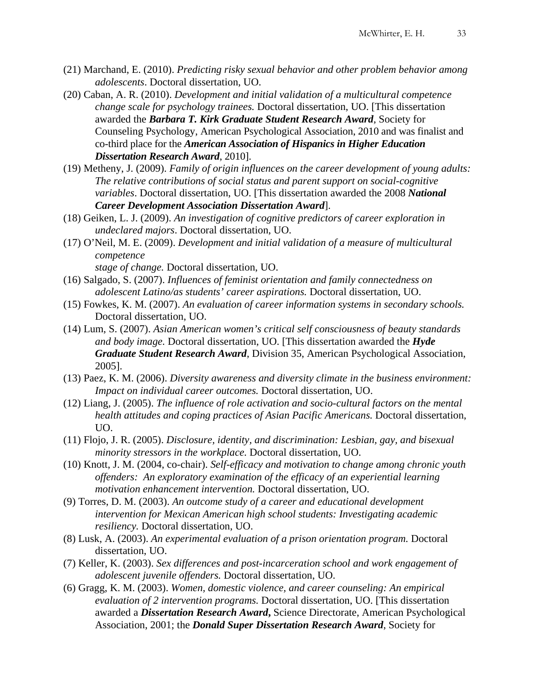- (21) Marchand, E. (2010). *Predicting risky sexual behavior and other problem behavior among adolescents*. Doctoral dissertation, UO.
- (20) Caban, A. R. (2010). *Development and initial validation of a multicultural competence change scale for psychology trainees.* Doctoral dissertation, UO. [This dissertation awarded the *Barbara T. Kirk Graduate Student Research Award*, Society for Counseling Psychology, American Psychological Association, 2010 and was finalist and co-third place for the *American Association of Hispanics in Higher Education Dissertation Research Award*, 2010].
- (19) Metheny, J. (2009). *Family of origin influences on the career development of young adults: The relative contributions of social status and parent support on social-cognitive variables*. Doctoral dissertation, UO. [This dissertation awarded the 2008 *National Career Development Association Dissertation Award*].
- (18) Geiken, L. J. (2009). *An investigation of cognitive predictors of career exploration in undeclared majors*. Doctoral dissertation, UO.
- (17) O'Neil, M. E. (2009). *Development and initial validation of a measure of multicultural competence* 
	- *stage of change.* Doctoral dissertation, UO.
- (16) Salgado, S. (2007). *Influences of feminist orientation and family connectedness on adolescent Latino/as students' career aspirations.* Doctoral dissertation, UO.
- (15) Fowkes, K. M. (2007). *An evaluation of career information systems in secondary schools.*  Doctoral dissertation, UO.
- (14) Lum, S. (2007). *Asian American women's critical self consciousness of beauty standards and body image.* Doctoral dissertation, UO. [This dissertation awarded the *Hyde Graduate Student Research Award*, Division 35, American Psychological Association, 2005].
- (13) Paez, K. M. (2006). *Diversity awareness and diversity climate in the business environment: Impact on individual career outcomes.* Doctoral dissertation, UO.
- (12) Liang, J. (2005). *The influence of role activation and socio-cultural factors on the mental health attitudes and coping practices of Asian Pacific Americans.* Doctoral dissertation, UO.
- (11) Flojo, J. R. (2005). *Disclosure, identity, and discrimination: Lesbian, gay, and bisexual minority stressors in the workplace.* Doctoral dissertation, UO.
- (10) Knott, J. M. (2004, co-chair). *Self-efficacy and motivation to change among chronic youth offenders: An exploratory examination of the efficacy of an experiential learning motivation enhancement intervention.* Doctoral dissertation, UO.
- (9) Torres, D. M. (2003). *An outcome study of a career and educational development intervention for Mexican American high school students: Investigating academic resiliency.* Doctoral dissertation, UO.
- (8) Lusk, A. (2003). *An experimental evaluation of a prison orientation program.* Doctoral dissertation, UO.
- (7) Keller, K. (2003). *Sex differences and post-incarceration school and work engagement of adolescent juvenile offenders.* Doctoral dissertation, UO.
- (6) Gragg, K. M. (2003). *Women, domestic violence, and career counseling: An empirical evaluation of 2 intervention programs.* Doctoral dissertation, UO. [This dissertation awarded a *Dissertation Research Award***,** Science Directorate, American Psychological Association, 2001; the *Donald Super Dissertation Research Award*, Society for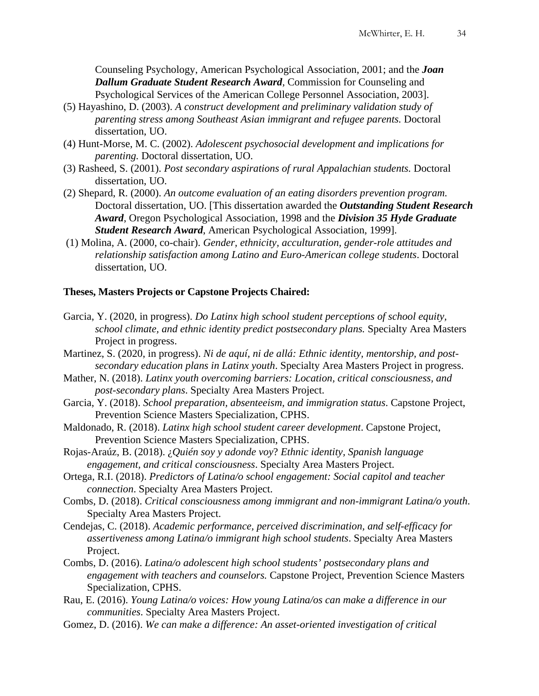Counseling Psychology, American Psychological Association, 2001; and the *Joan Dallum Graduate Student Research Award*, Commission for Counseling and Psychological Services of the American College Personnel Association, 2003].

- (5) Hayashino, D. (2003). *A construct development and preliminary validation study of parenting stress among Southeast Asian immigrant and refugee parents.* Doctoral dissertation, UO.
- (4) Hunt-Morse, M. C. (2002). *Adolescent psychosocial development and implications for parenting.* Doctoral dissertation, UO.
- (3) Rasheed, S. (2001). *Post secondary aspirations of rural Appalachian students.* Doctoral dissertation, UO.
- (2) Shepard, R. (2000). *An outcome evaluation of an eating disorders prevention program.*  Doctoral dissertation, UO. [This dissertation awarded the *Outstanding Student Research Award*, Oregon Psychological Association, 1998 and the *Division 35 Hyde Graduate Student Research Award*, American Psychological Association, 1999].
- (1) Molina, A. (2000, co-chair). *Gender, ethnicity, acculturation, gender-role attitudes and relationship satisfaction among Latino and Euro-American college students*. Doctoral dissertation, UO.

## **Theses, Masters Projects or Capstone Projects Chaired:**

- Garcia, Y. (2020, in progress). *Do Latinx high school student perceptions of school equity, school climate, and ethnic identity predict postsecondary plans.* Specialty Area Masters Project in progress.
- Martinez, S. (2020, in progress). *Ni de aquí, ni de allá: Ethnic identity, mentorship, and postsecondary education plans in Latinx youth*. Specialty Area Masters Project in progress.
- Mather, N. (2018). *Latinx youth overcoming barriers: Location, critical consciousness, and post-secondary plans*. Specialty Area Masters Project.
- Garcia, Y. (2018). *School preparation, absenteeism, and immigration status*. Capstone Project, Prevention Science Masters Specialization, CPHS.
- Maldonado, R. (2018). *Latinx high school student career development*. Capstone Project, Prevention Science Masters Specialization, CPHS.
- Rojas-Araúz, B. (2018). ¿*Quién soy y adonde voy*? *Ethnic identity, Spanish language engagement, and critical consciousness*. Specialty Area Masters Project.
- Ortega, R.I. (2018). *Predictors of Latina/o school engagement: Social capitol and teacher connection*. Specialty Area Masters Project.
- Combs, D. (2018). *Critical consciousness among immigrant and non-immigrant Latina/o youth*. Specialty Area Masters Project.
- Cendejas, C. (2018). *Academic performance, perceived discrimination, and self-efficacy for assertiveness among Latina/o immigrant high school students*. Specialty Area Masters Project.
- Combs, D. (2016). *Latina/o adolescent high school students' postsecondary plans and engagement with teachers and counselors.* Capstone Project, Prevention Science Masters Specialization, CPHS.
- Rau, E. (2016). *Young Latina/o voices: How young Latina/os can make a difference in our communities*. Specialty Area Masters Project.
- Gomez, D. (2016). *We can make a difference: An asset-oriented investigation of critical*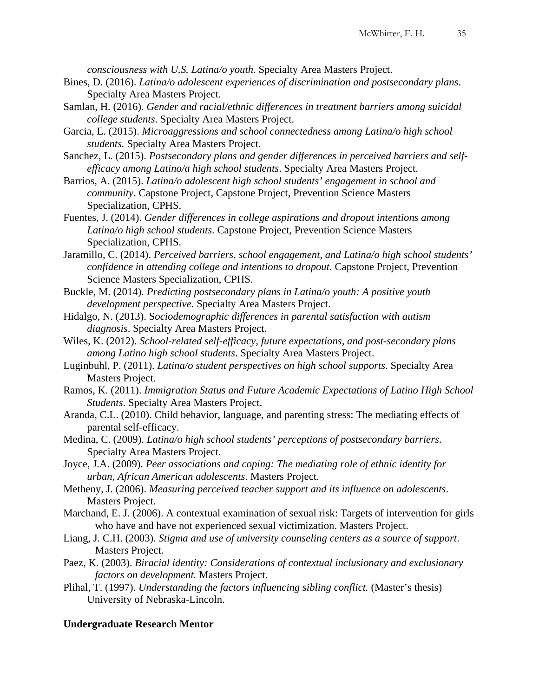*consciousness with U.S. Latina/o youth*. Specialty Area Masters Project.

- Bines, D. (2016). *Latina/o adolescent experiences of discrimination and postsecondary plans*. Specialty Area Masters Project.
- Samlan, H. (2016). *Gender and racial/ethnic differences in treatment barriers among suicidal college students*. Specialty Area Masters Project.
- Garcia, E. (2015). *Microaggressions and school connectedness among Latina/o high school students.* Specialty Area Masters Project.
- Sanchez, L. (2015). *Postsecondary plans and gender differences in perceived barriers and selfefficacy among Latino/a high school students*. Specialty Area Masters Project.
- Barrios, A. (2015). *Latina/o adolescent high school students' engagement in school and community*. Capstone Project, Capstone Project, Prevention Science Masters Specialization, CPHS.
- Fuentes, J. (2014). *Gender differences in college aspirations and dropout intentions among Latina/o high school students*. Capstone Project, Prevention Science Masters Specialization, CPHS.
- Jaramillo, C. (2014). *Perceived barriers, school engagement, and Latina/o high school students' confidence in attending college and intentions to dropout*. Capstone Project, Prevention Science Masters Specialization, CPHS.
- Buckle, M. (2014). *Predicting postsecondary plans in Latina/o youth: A positive youth development perspective*. Specialty Area Masters Project.
- Hidalgo, N. (2013). S*ociodemographic differences in parental satisfaction with autism diagnosis*. Specialty Area Masters Project.
- Wiles, K. (2012). *School-related self-efficacy, future expectations, and post-secondary plans among Latino high school students*. Specialty Area Masters Project.
- Luginbuhl, P. (2011). *Latina/o student perspectives on high school supports*. Specialty Area Masters Project.
- Ramos, K. (2011). *Immigration Status and Future Academic Expectations of Latino High School Students*. Specialty Area Masters Project.
- Aranda, C.L. (2010). Child behavior, language, and parenting stress: The mediating effects of parental self-efficacy.
- Medina, C. (2009). *Latina/o high school students' perceptions of postsecondary barriers*. Specialty Area Masters Project.
- Joyce, J.A. (2009). *Peer associations and coping: The mediating role of ethnic identity for urban, African American adolescents*. Masters Project.
- Metheny, J. (2006). *Measuring perceived teacher support and its influence on adolescents*. Masters Project.
- Marchand, E. J. (2006). A contextual examination of sexual risk: Targets of intervention for girls who have and have not experienced sexual victimization. Masters Project.
- Liang, J. C.H. (2003). *Stigma and use of university counseling centers as a source of support*. Masters Project.
- Paez, K. (2003). *Biracial identity: Considerations of contextual inclusionary and exclusionary factors on development.* Masters Project.
- Plihal, T. (1997). *Understanding the factors influencing sibling conflict.* (Master's thesis) University of Nebraska-Lincoln.

## **Undergraduate Research Mentor**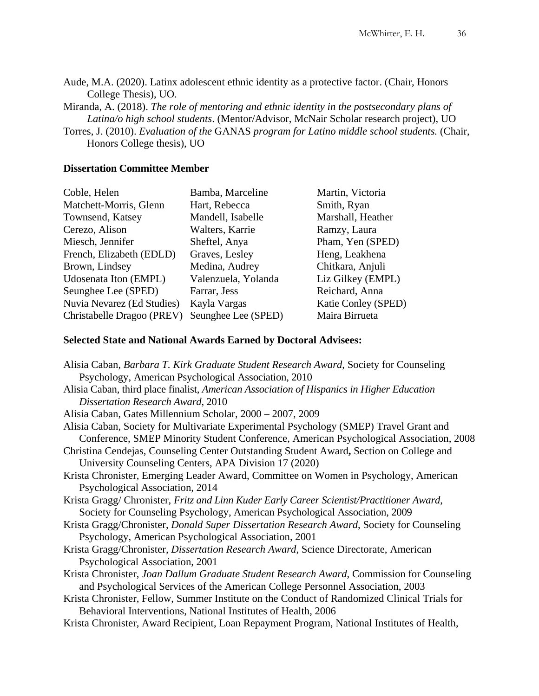Aude, M.A. (2020). Latinx adolescent ethnic identity as a protective factor. (Chair, Honors College Thesis), UO.

Miranda, A. (2018). *The role of mentoring and ethnic identity in the postsecondary plans of Latina/o high school students*. (Mentor/Advisor, McNair Scholar research project), UO

Torres, J. (2010). *Evaluation of the* GANAS *program for Latino middle school students.* (Chair, Honors College thesis), UO

## **Dissertation Committee Member**

| Coble, Helen               | Bamba, Marceline    | Martin, Victoria    |
|----------------------------|---------------------|---------------------|
| Matchett-Morris, Glenn     | Hart, Rebecca       | Smith, Ryan         |
| Townsend, Katsey           | Mandell, Isabelle   | Marshall, Heather   |
| Cerezo, Alison             | Walters, Karrie     | Ramzy, Laura        |
| Miesch, Jennifer           | Sheftel, Anya       | Pham, Yen (SPED)    |
| French, Elizabeth (EDLD)   | Graves, Lesley      | Heng, Leakhena      |
| Brown, Lindsey             | Medina, Audrey      | Chitkara, Anjuli    |
| Udosenata Iton (EMPL)      | Valenzuela, Yolanda | Liz Gilkey (EMPL)   |
| Seunghee Lee (SPED)        | Farrar, Jess        | Reichard, Anna      |
| Nuvia Nevarez (Ed Studies) | Kayla Vargas        | Katie Conley (SPED) |
| Christabelle Dragoo (PREV) | Seunghee Lee (SPED) | Maira Birrueta      |

## **Selected State and National Awards Earned by Doctoral Advisees:**

| Alisia Caban, Barbara T. Kirk Graduate Student Research Award, Society for Counseling        |
|----------------------------------------------------------------------------------------------|
| Psychology, American Psychological Association, 2010                                         |
| Alisia Caban, third place finalist, American Association of Hispanics in Higher Education    |
| Dissertation Research Award, 2010                                                            |
| Alisia Caban, Gates Millennium Scholar, 2000 – 2007, 2009                                    |
| Alisia Caban, Society for Multivariate Experimental Psychology (SMEP) Travel Grant and       |
| Conference, SMEP Minority Student Conference, American Psychological Association, 2008       |
| Christina Cendejas, Counseling Center Outstanding Student Award, Section on College and      |
| University Counseling Centers, APA Division 17 (2020)                                        |
| Krista Chronister, Emerging Leader Award, Committee on Women in Psychology, American         |
| Psychological Association, 2014                                                              |
| Krista Gragg/Chronister, Fritz and Linn Kuder Early Career Scientist/Practitioner Award,     |
| Society for Counseling Psychology, American Psychological Association, 2009                  |
| Krista Gragg/Chronister, Donald Super Dissertation Research Award, Society for Counseling    |
| Psychology, American Psychological Association, 2001                                         |
| Krista Gragg/Chronister, <i>Dissertation Research Award</i> , Science Directorate, American  |
| Psychological Association, 2001                                                              |
| Krista Chronister, Joan Dallum Graduate Student Research Award, Commission for Counseling    |
| and Psychological Services of the American College Personnel Association, 2003               |
| Krista Chronister, Fellow, Summer Institute on the Conduct of Randomized Clinical Trials for |
| Behavioral Interventions, National Institutes of Health, 2006                                |
| Krista Chronister, Award Recipient, Loan Repayment Program, National Institutes of Health,   |
|                                                                                              |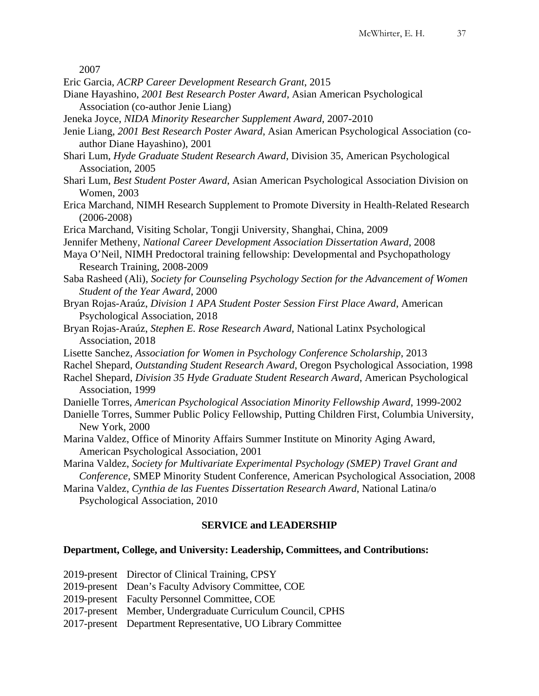2007

- Eric Garcia, *ACRP Career Development Research Grant*, 2015
- Diane Hayashino, *2001 Best Research Poster Award,* Asian American Psychological Association (co-author Jenie Liang)
- Jeneka Joyce, *NIDA Minority Researcher Supplement Award,* 2007-2010
- Jenie Liang, *2001 Best Research Poster Award*, Asian American Psychological Association (coauthor Diane Hayashino), 2001
- Shari Lum, *Hyde Graduate Student Research Award*, Division 35, American Psychological Association, 2005
- Shari Lum, *Best Student Poster Award*, Asian American Psychological Association Division on Women, 2003
- Erica Marchand, NIMH Research Supplement to Promote Diversity in Health-Related Research (2006-2008)
- Erica Marchand, Visiting Scholar, Tongji University, Shanghai, China, 2009
- Jennifer Metheny, *National Career Development Association Dissertation Award*, 2008
- Maya O'Neil, NIMH Predoctoral training fellowship: Developmental and Psychopathology Research Training, 2008-2009
- Saba Rasheed (Ali), *Society for Counseling Psychology Section for the Advancement of Women Student of the Year Award*, 2000
- Bryan Rojas-Araúz, *Division 1 APA Student Poster Session First Place Award*, American Psychological Association, 2018
- Bryan Rojas-Araúz, *Stephen E. Rose Research Award*, National Latinx Psychological Association, 2018
- Lisette Sanchez, *Association for Women in Psychology Conference Scholarship*, 2013
- Rachel Shepard, *Outstanding Student Research Award*, Oregon Psychological Association, 1998
- Rachel Shepard, *Division 35 Hyde Graduate Student Research Award*, American Psychological Association, 1999
- Danielle Torres, *American Psychological Association Minority Fellowship Award*, 1999-2002
- Danielle Torres, Summer Public Policy Fellowship, Putting Children First, Columbia University, New York, 2000
- Marina Valdez, Office of Minority Affairs Summer Institute on Minority Aging Award, American Psychological Association, 2001
- Marina Valdez, *Society for Multivariate Experimental Psychology (SMEP) Travel Grant and Conference*, SMEP Minority Student Conference, American Psychological Association, 2008
- Marina Valdez, *Cynthia de las Fuentes Dissertation Research Award*, National Latina/o Psychological Association, 2010

## **SERVICE and LEADERSHIP**

## **Department, College, and University: Leadership, Committees, and Contributions:**

| 2019-present Director of Clinical Training, CPSY             |
|--------------------------------------------------------------|
| 2019-present Dean's Faculty Advisory Committee, COE          |
| 2019-present Faculty Personnel Committee, COE                |
| 2017-present Member, Undergraduate Curriculum Council, CPHS  |
| 2017-present Department Representative, UO Library Committee |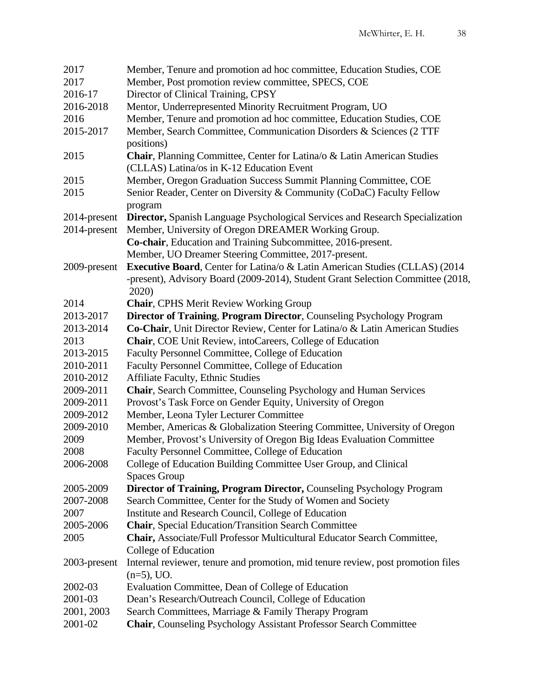| 2017         | Member, Tenure and promotion ad hoc committee, Education Studies, COE            |
|--------------|----------------------------------------------------------------------------------|
| 2017         | Member, Post promotion review committee, SPECS, COE                              |
| 2016-17      | Director of Clinical Training, CPSY                                              |
| 2016-2018    | Mentor, Underrepresented Minority Recruitment Program, UO                        |
| 2016         | Member, Tenure and promotion ad hoc committee, Education Studies, COE            |
| 2015-2017    | Member, Search Committee, Communication Disorders & Sciences (2 TTF              |
|              | positions)                                                                       |
| 2015         | Chair, Planning Committee, Center for Latina/o & Latin American Studies          |
|              | (CLLAS) Latina/os in K-12 Education Event                                        |
| 2015         | Member, Oregon Graduation Success Summit Planning Committee, COE                 |
| 2015         | Senior Reader, Center on Diversity & Community (CoDaC) Faculty Fellow            |
|              | program                                                                          |
| 2014-present | Director, Spanish Language Psychological Services and Research Specialization    |
| 2014-present | Member, University of Oregon DREAMER Working Group.                              |
|              | Co-chair, Education and Training Subcommittee, 2016-present.                     |
|              | Member, UO Dreamer Steering Committee, 2017-present.                             |
|              | Executive Board, Center for Latina/o & Latin American Studies (CLLAS) (2014)     |
| 2009-present |                                                                                  |
|              | -present), Advisory Board (2009-2014), Student Grant Selection Committee (2018,  |
|              | 2020)                                                                            |
| 2014         | <b>Chair, CPHS Merit Review Working Group</b>                                    |
| 2013-2017    | Director of Training, Program Director, Counseling Psychology Program            |
| 2013-2014    | Co-Chair, Unit Director Review, Center for Latina/o & Latin American Studies     |
| 2013         | Chair, COE Unit Review, intoCareers, College of Education                        |
| 2013-2015    | Faculty Personnel Committee, College of Education                                |
| 2010-2011    | Faculty Personnel Committee, College of Education                                |
| 2010-2012    | <b>Affiliate Faculty, Ethnic Studies</b>                                         |
| 2009-2011    | Chair, Search Committee, Counseling Psychology and Human Services                |
| 2009-2011    | Provost's Task Force on Gender Equity, University of Oregon                      |
| 2009-2012    | Member, Leona Tyler Lecturer Committee                                           |
| 2009-2010    | Member, Americas & Globalization Steering Committee, University of Oregon        |
| 2009         | Member, Provost's University of Oregon Big Ideas Evaluation Committee            |
| 2008         | Faculty Personnel Committee, College of Education                                |
| 2006-2008    | College of Education Building Committee User Group, and Clinical                 |
|              | <b>Spaces Group</b>                                                              |
| 2005-2009    | <b>Director of Training, Program Director, Counseling Psychology Program</b>     |
| 2007-2008    | Search Committee, Center for the Study of Women and Society                      |
| 2007         | Institute and Research Council, College of Education                             |
| 2005-2006    | <b>Chair</b> , Special Education/Transition Search Committee                     |
| 2005         | Chair, Associate/Full Professor Multicultural Educator Search Committee,         |
|              | College of Education                                                             |
| 2003-present | Internal reviewer, tenure and promotion, mid tenure review, post promotion files |
|              | $(n=5)$ , UO.                                                                    |
| 2002-03      | Evaluation Committee, Dean of College of Education                               |
| 2001-03      | Dean's Research/Outreach Council, College of Education                           |
| 2001, 2003   | Search Committees, Marriage & Family Therapy Program                             |
| 2001-02      | <b>Chair, Counseling Psychology Assistant Professor Search Committee</b>         |
|              |                                                                                  |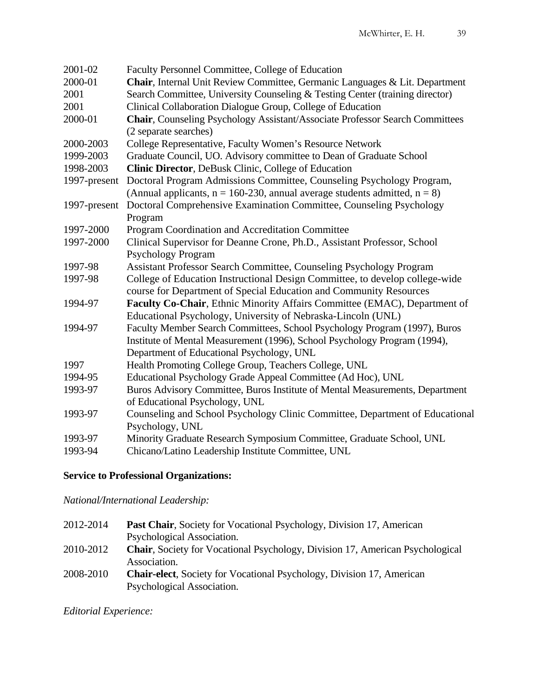| 2001-02      | Faculty Personnel Committee, College of Education                                                                                         |
|--------------|-------------------------------------------------------------------------------------------------------------------------------------------|
| 2000-01      | Chair, Internal Unit Review Committee, Germanic Languages & Lit. Department                                                               |
| 2001         | Search Committee, University Counseling & Testing Center (training director)                                                              |
| 2001         | Clinical Collaboration Dialogue Group, College of Education                                                                               |
| 2000-01      | Chair, Counseling Psychology Assistant/Associate Professor Search Committees<br>(2 separate searches)                                     |
| 2000-2003    | College Representative, Faculty Women's Resource Network                                                                                  |
| 1999-2003    | Graduate Council, UO. Advisory committee to Dean of Graduate School                                                                       |
| 1998-2003    | <b>Clinic Director, DeBusk Clinic, College of Education</b>                                                                               |
| 1997-present | Doctoral Program Admissions Committee, Counseling Psychology Program,                                                                     |
|              | (Annual applicants, $n = 160-230$ , annual average students admitted, $n = 8$ )                                                           |
| 1997-present | Doctoral Comprehensive Examination Committee, Counseling Psychology                                                                       |
|              | Program                                                                                                                                   |
| 1997-2000    | Program Coordination and Accreditation Committee                                                                                          |
| 1997-2000    | Clinical Supervisor for Deanne Crone, Ph.D., Assistant Professor, School                                                                  |
|              | <b>Psychology Program</b>                                                                                                                 |
| 1997-98      | <b>Assistant Professor Search Committee, Counseling Psychology Program</b>                                                                |
| 1997-98      | College of Education Instructional Design Committee, to develop college-wide                                                              |
|              | course for Department of Special Education and Community Resources                                                                        |
| 1994-97      | Faculty Co-Chair, Ethnic Minority Affairs Committee (EMAC), Department of<br>Educational Psychology, University of Nebraska-Lincoln (UNL) |
| 1994-97      | Faculty Member Search Committees, School Psychology Program (1997), Buros                                                                 |
|              | Institute of Mental Measurement (1996), School Psychology Program (1994),                                                                 |
|              | Department of Educational Psychology, UNL                                                                                                 |
| 1997         | Health Promoting College Group, Teachers College, UNL                                                                                     |
| 1994-95      | Educational Psychology Grade Appeal Committee (Ad Hoc), UNL                                                                               |
| 1993-97      | Buros Advisory Committee, Buros Institute of Mental Measurements, Department                                                              |
|              | of Educational Psychology, UNL                                                                                                            |
| 1993-97      | Counseling and School Psychology Clinic Committee, Department of Educational                                                              |
|              | Psychology, UNL                                                                                                                           |
| 1993-97      | Minority Graduate Research Symposium Committee, Graduate School, UNL                                                                      |
| 1993-94      | Chicano/Latino Leadership Institute Committee, UNL                                                                                        |

# **Service to Professional Organizations:**

*National/International Leadership:*

| 2012-2014 | <b>Past Chair, Society for Vocational Psychology, Division 17, American</b>          |
|-----------|--------------------------------------------------------------------------------------|
|           | Psychological Association.                                                           |
| 2010-2012 | <b>Chair, Society for Vocational Psychology, Division 17, American Psychological</b> |
|           | Association.                                                                         |
| 2008-2010 | <b>Chair-elect, Society for Vocational Psychology, Division 17, American</b>         |
|           | Psychological Association.                                                           |

*Editorial Experience:*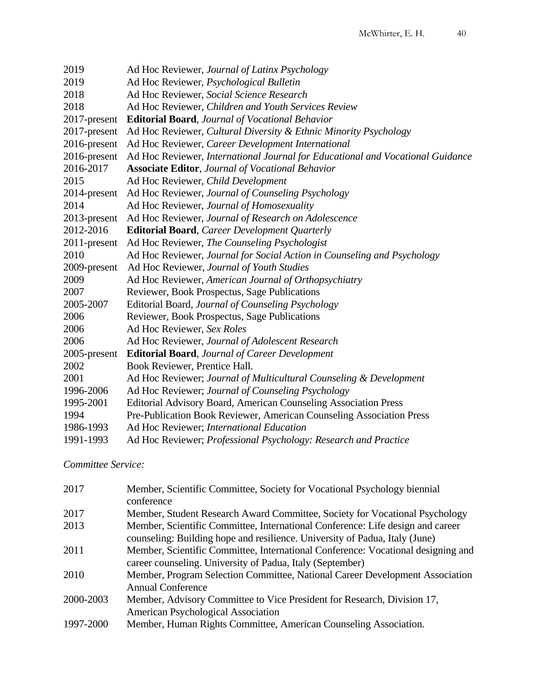| 2019         | Ad Hoc Reviewer, Journal of Latinx Psychology                                  |
|--------------|--------------------------------------------------------------------------------|
| 2019         | Ad Hoc Reviewer, Psychological Bulletin                                        |
| 2018         | Ad Hoc Reviewer, Social Science Research                                       |
| 2018         | Ad Hoc Reviewer, Children and Youth Services Review                            |
| 2017-present | <b>Editorial Board, Journal of Vocational Behavior</b>                         |
| 2017-present | Ad Hoc Reviewer, Cultural Diversity & Ethnic Minority Psychology               |
| 2016-present | Ad Hoc Reviewer, Career Development International                              |
| 2016-present | Ad Hoc Reviewer, International Journal for Educational and Vocational Guidance |
| 2016-2017    | <b>Associate Editor, Journal of Vocational Behavior</b>                        |
| 2015         | Ad Hoc Reviewer, Child Development                                             |
| 2014-present | Ad Hoc Reviewer, Journal of Counseling Psychology                              |
| 2014         | Ad Hoc Reviewer, Journal of Homosexuality                                      |
| 2013-present | Ad Hoc Reviewer, Journal of Research on Adolescence                            |
| 2012-2016    | <b>Editorial Board</b> , Career Development Quarterly                          |
| 2011-present | Ad Hoc Reviewer, The Counseling Psychologist                                   |
| 2010         | Ad Hoc Reviewer, Journal for Social Action in Counseling and Psychology        |
| 2009-present | Ad Hoc Reviewer, Journal of Youth Studies                                      |
| 2009         | Ad Hoc Reviewer, American Journal of Orthopsychiatry                           |
| 2007         | Reviewer, Book Prospectus, Sage Publications                                   |
| 2005-2007    | Editorial Board, Journal of Counseling Psychology                              |
| 2006         | Reviewer, Book Prospectus, Sage Publications                                   |
| 2006         | Ad Hoc Reviewer, Sex Roles                                                     |
| 2006         | Ad Hoc Reviewer, Journal of Adolescent Research                                |
| 2005-present | <b>Editorial Board, Journal of Career Development</b>                          |
| 2002         | Book Reviewer, Prentice Hall.                                                  |
| 2001         | Ad Hoc Reviewer; Journal of Multicultural Counseling & Development             |
| 1996-2006    | Ad Hoc Reviewer; Journal of Counseling Psychology                              |
| 1995-2001    | Editorial Advisory Board, American Counseling Association Press                |
| 1994         | Pre-Publication Book Reviewer, American Counseling Association Press           |
| 1986-1993    | Ad Hoc Reviewer; International Education                                       |
| 1991-1993    | Ad Hoc Reviewer; Professional Psychology: Research and Practice                |
|              |                                                                                |

*Committee Service:* 

| 2017      | Member, Scientific Committee, Society for Vocational Psychology biennial         |
|-----------|----------------------------------------------------------------------------------|
|           | conference                                                                       |
| 2017      | Member, Student Research Award Committee, Society for Vocational Psychology      |
| 2013      | Member, Scientific Committee, International Conference: Life design and career   |
|           | counseling: Building hope and resilience. University of Padua, Italy (June)      |
| 2011      | Member, Scientific Committee, International Conference: Vocational designing and |
|           | career counseling. University of Padua, Italy (September)                        |
| 2010      | Member, Program Selection Committee, National Career Development Association     |
|           | <b>Annual Conference</b>                                                         |
| 2000-2003 | Member, Advisory Committee to Vice President for Research, Division 17,          |
|           | American Psychological Association                                               |
| 1997-2000 | Member, Human Rights Committee, American Counseling Association.                 |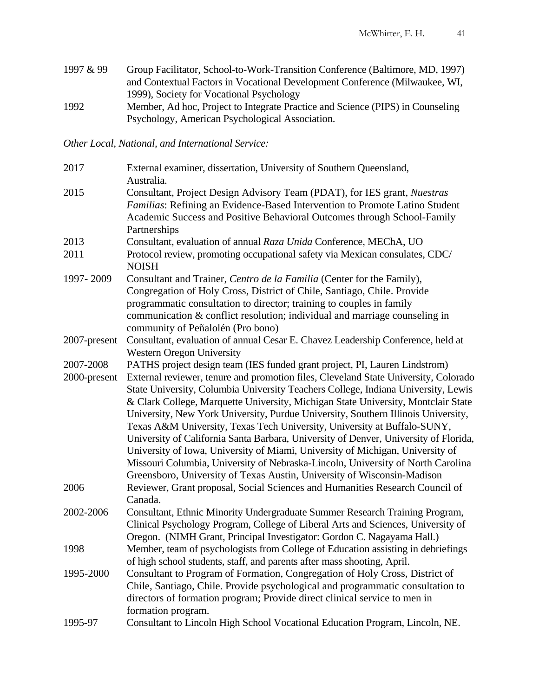1997 & 99 Group Facilitator, School-to-Work-Transition Conference (Baltimore, MD, 1997) and Contextual Factors in Vocational Development Conference (Milwaukee, WI, 1999), Society for Vocational Psychology 1992 Member, Ad hoc, Project to Integrate Practice and Science (PIPS) in Counseling Psychology, American Psychological Association.

*Other Local, National, and International Service:*

| 2017         | External examiner, dissertation, University of Southern Queensland,<br>Australia.                                                                                                                                                                                                                                                                                                                                                                                                                                                                                                                                                                                                                                                                                      |
|--------------|------------------------------------------------------------------------------------------------------------------------------------------------------------------------------------------------------------------------------------------------------------------------------------------------------------------------------------------------------------------------------------------------------------------------------------------------------------------------------------------------------------------------------------------------------------------------------------------------------------------------------------------------------------------------------------------------------------------------------------------------------------------------|
| 2015         | Consultant, Project Design Advisory Team (PDAT), for IES grant, Nuestras<br>Familias: Refining an Evidence-Based Intervention to Promote Latino Student<br>Academic Success and Positive Behavioral Outcomes through School-Family<br>Partnerships                                                                                                                                                                                                                                                                                                                                                                                                                                                                                                                     |
| 2013         | Consultant, evaluation of annual Raza Unida Conference, MEChA, UO                                                                                                                                                                                                                                                                                                                                                                                                                                                                                                                                                                                                                                                                                                      |
| 2011         | Protocol review, promoting occupational safety via Mexican consulates, CDC/<br><b>NOISH</b>                                                                                                                                                                                                                                                                                                                                                                                                                                                                                                                                                                                                                                                                            |
| 1997-2009    | Consultant and Trainer, Centro de la Familia (Center for the Family),<br>Congregation of Holy Cross, District of Chile, Santiago, Chile. Provide<br>programmatic consultation to director; training to couples in family<br>communication & conflict resolution; individual and marriage counseling in<br>community of Peñalolén (Pro bono)                                                                                                                                                                                                                                                                                                                                                                                                                            |
| 2007-present | Consultant, evaluation of annual Cesar E. Chavez Leadership Conference, held at<br><b>Western Oregon University</b>                                                                                                                                                                                                                                                                                                                                                                                                                                                                                                                                                                                                                                                    |
| 2007-2008    | PATHS project design team (IES funded grant project, PI, Lauren Lindstrom)                                                                                                                                                                                                                                                                                                                                                                                                                                                                                                                                                                                                                                                                                             |
| 2000-present | External reviewer, tenure and promotion files, Cleveland State University, Colorado<br>State University, Columbia University Teachers College, Indiana University, Lewis<br>& Clark College, Marquette University, Michigan State University, Montclair State<br>University, New York University, Purdue University, Southern Illinois University,<br>Texas A&M University, Texas Tech University, University at Buffalo-SUNY,<br>University of California Santa Barbara, University of Denver, University of Florida,<br>University of Iowa, University of Miami, University of Michigan, University of<br>Missouri Columbia, University of Nebraska-Lincoln, University of North Carolina<br>Greensboro, University of Texas Austin, University of Wisconsin-Madison |
| 2006         | Reviewer, Grant proposal, Social Sciences and Humanities Research Council of<br>Canada.                                                                                                                                                                                                                                                                                                                                                                                                                                                                                                                                                                                                                                                                                |
| 2002-2006    | Consultant, Ethnic Minority Undergraduate Summer Research Training Program,<br>Clinical Psychology Program, College of Liberal Arts and Sciences, University of<br>Oregon. (NIMH Grant, Principal Investigator: Gordon C. Nagayama Hall.)                                                                                                                                                                                                                                                                                                                                                                                                                                                                                                                              |
| 1998         | Member, team of psychologists from College of Education assisting in debriefings<br>of high school students, staff, and parents after mass shooting, April.                                                                                                                                                                                                                                                                                                                                                                                                                                                                                                                                                                                                            |
| 1995-2000    | Consultant to Program of Formation, Congregation of Holy Cross, District of<br>Chile, Santiago, Chile. Provide psychological and programmatic consultation to<br>directors of formation program; Provide direct clinical service to men in<br>formation program.                                                                                                                                                                                                                                                                                                                                                                                                                                                                                                       |
| 1995-97      | Consultant to Lincoln High School Vocational Education Program, Lincoln, NE.                                                                                                                                                                                                                                                                                                                                                                                                                                                                                                                                                                                                                                                                                           |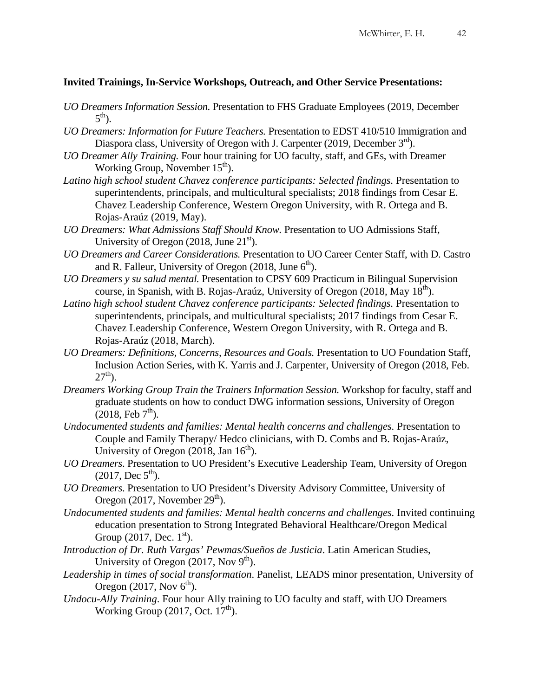## **Invited Trainings, In-Service Workshops, Outreach, and Other Service Presentations:**

- *UO Dreamers Information Session.* Presentation to FHS Graduate Employees (2019, December  $5<sup>th</sup>$ ).
- *UO Dreamers: Information for Future Teachers.* Presentation to EDST 410/510 Immigration and Diaspora class, University of Oregon with J. Carpenter (2019, December  $3<sup>rd</sup>$ ).
- *UO Dreamer Ally Training.* Four hour training for UO faculty, staff, and GEs, with Dreamer Working Group, November  $15<sup>th</sup>$ ).
- *Latino high school student Chavez conference participants: Selected findings.* Presentation to superintendents, principals, and multicultural specialists; 2018 findings from Cesar E. Chavez Leadership Conference, Western Oregon University, with R. Ortega and B. Rojas-Araúz (2019, May).
- *UO Dreamers: What Admissions Staff Should Know.* Presentation to UO Admissions Staff, University of Oregon  $(2018, \text{June } 21^{\text{st}})$ .
- *UO Dreamers and Career Considerations.* Presentation to UO Career Center Staff, with D. Castro and R. Falleur, University of Oregon (2018, June  $6<sup>th</sup>$ ).
- *UO Dreamers y su salud mental.* Presentation to CPSY 609 Practicum in Bilingual Supervision course, in Spanish, with B. Rojas-Araúz, University of Oregon (2018, May  $18<sup>th</sup>$ ).
- Latino high school student Chavez conference participants: Selected findings. Presentation to superintendents, principals, and multicultural specialists; 2017 findings from Cesar E. Chavez Leadership Conference, Western Oregon University, with R. Ortega and B. Rojas-Araúz (2018, March).
- *UO Dreamers: Definitions, Concerns, Resources and Goals.* Presentation to UO Foundation Staff, Inclusion Action Series, with K. Yarris and J. Carpenter, University of Oregon (2018, Feb.  $27^{th}$ ).
- *Dreamers Working Group Train the Trainers Information Session.* Workshop for faculty, staff and graduate students on how to conduct DWG information sessions, University of Oregon  $(2018, \text{ Feb } 7^{\text{th}})$ .
- *Undocumented students and families: Mental health concerns and challenges.* Presentation to Couple and Family Therapy/ Hedco clinicians, with D. Combs and B. Rojas-Araúz, University of Oregon  $(2018, \text{Jan } 16^{\text{th}})$ .
- *UO Dreamers*. Presentation to UO President's Executive Leadership Team, University of Oregon  $(2017, \text{Dec } 5^{\text{th}}).$
- *UO Dreamers*. Presentation to UO President's Diversity Advisory Committee, University of Oregon (2017, November  $29<sup>th</sup>$ ).
- *Undocumented students and families: Mental health concerns and challenges.* Invited continuing education presentation to Strong Integrated Behavioral Healthcare/Oregon Medical Group  $(2017, \text{Dec. } 1^{\text{st}})$ .
- *Introduction of Dr. Ruth Vargas' Pewmas/Sueños de Justicia*. Latin American Studies, University of Oregon  $(2017, \text{Nov } 9^{\text{th}})$ .
- *Leadership in times of social transformation*. Panelist, LEADS minor presentation, University of Oregon  $(2017, \text{Nov } 6^{\text{th}})$ .
- *Undocu-Ally Training*. Four hour Ally training to UO faculty and staff, with UO Dreamers Working Group  $(2017, \text{Oct. } 17^{\text{th}})$ .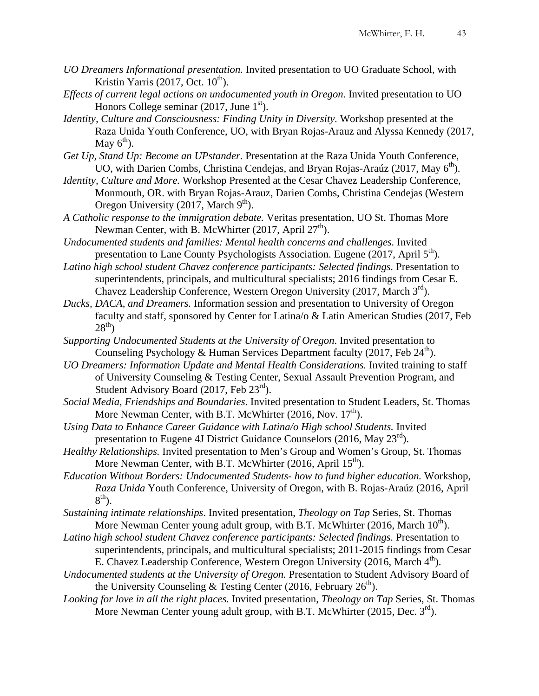- *UO Dreamers Informational presentation.* Invited presentation to UO Graduate School, with Kristin Yarris (2017, Oct.  $10^{th}$ ).
- *Effects of current legal actions on undocumented youth in Oregon.* Invited presentation to UO Honors College seminar  $(2017,$  June  $1<sup>st</sup>$ ).
- *Identity, Culture and Consciousness: Finding Unity in Diversity.* Workshop presented at the Raza Unida Youth Conference, UO, with Bryan Rojas-Arauz and Alyssa Kennedy (2017, May  $6<sup>th</sup>$ ).
- *Get Up, Stand Up: Become an UPstander.* Presentation at the Raza Unida Youth Conference, UO, with Darien Combs, Christina Cendejas, and Bryan Rojas-Araúz (2017, May  $6<sup>th</sup>$ ).
- *Identity, Culture and More.* Workshop Presented at the Cesar Chavez Leadership Conference, Monmouth, OR. with Bryan Rojas-Arauz, Darien Combs, Christina Cendejas (Western Oregon University (2017, March  $9<sup>th</sup>$ ).
- *A Catholic response to the immigration debate.* Veritas presentation, UO St. Thomas More Newman Center, with B. McWhirter  $(2017,$  April  $27<sup>th</sup>$ ).
- *Undocumented students and families: Mental health concerns and challenges.* Invited presentation to Lane County Psychologists Association. Eugene (2017, April  $5<sup>th</sup>$ ).
- Latino high school student Chavez conference participants: Selected findings. Presentation to superintendents, principals, and multicultural specialists; 2016 findings from Cesar E. Chavez Leadership Conference, Western Oregon University (2017, March  $3<sup>rd</sup>$ ).
- *Ducks, DACA, and Dreamers.* Information session and presentation to University of Oregon faculty and staff, sponsored by Center for Latina/o & Latin American Studies (2017, Feb  $28^{th}$ )
- *Supporting Undocumented Students at the University of Oregon*. Invited presentation to Counseling Psychology & Human Services Department faculty (2017, Feb  $24^{\text{th}}$ ).
- *UO Dreamers: Information Update and Mental Health Considerations.* Invited training to staff of University Counseling & Testing Center, Sexual Assault Prevention Program, and Student Advisory Board  $(2017, \text{Feb } 23^{\text{rd}})$ .
- *Social Media, Friendships and Boundaries*. Invited presentation to Student Leaders, St. Thomas More Newman Center, with B.T. McWhirter  $(2016, Nov. 17<sup>th</sup>)$ .
- *Using Data to Enhance Career Guidance with Latina/o High school Students.* Invited presentation to Eugene 4J District Guidance Counselors (2016, May  $23^{\text{rd}}$ ).
- *Healthy Relationships.* Invited presentation to Men's Group and Women's Group, St. Thomas More Newman Center, with B.T. McWhirter  $(2016,$  April  $15<sup>th</sup>$ ).
- *Education Without Borders: Undocumented Students- how to fund higher education.* Workshop, *Raza Unida* Youth Conference, University of Oregon, with B. Rojas-Araúz (2016, April  $8<sup>th</sup>$ ).
- *Sustaining intimate relationships*. Invited presentation, *Theology on Tap* Series, St. Thomas More Newman Center young adult group, with B.T. McWhirter (2016, March  $10^{th}$ ).
- *Latino high school student Chavez conference participants: Selected findings.* Presentation to superintendents, principals, and multicultural specialists; 2011-2015 findings from Cesar E. Chavez Leadership Conference, Western Oregon University (2016, March  $4<sup>th</sup>$ ).
- *Undocumented students at the University of Oregon.* Presentation to Student Advisory Board of the University Counseling & Testing Center (2016, February  $26<sup>th</sup>$ ).
- *Looking for love in all the right places.* Invited presentation, *Theology on Tap* Series, St. Thomas More Newman Center young adult group, with B.T. McWhirter (2015, Dec. 3<sup>rd</sup>).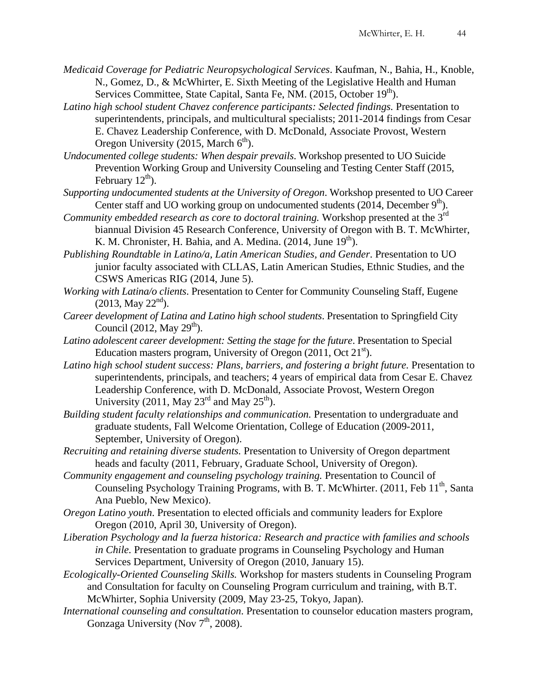- *Medicaid Coverage for Pediatric Neuropsychological Services*. Kaufman, N., Bahia, H., Knoble, N., Gomez, D., & McWhirter, E. Sixth Meeting of the Legislative Health and Human Services Committee, State Capital, Santa Fe, NM.  $(2015, \text{October } 19^{\text{th}})$ .
- Latino high school student Chavez conference participants: Selected findings. Presentation to superintendents, principals, and multicultural specialists; 2011-2014 findings from Cesar E. Chavez Leadership Conference, with D. McDonald, Associate Provost, Western Oregon University (2015, March  $6<sup>th</sup>$ ).
- *Undocumented college students: When despair prevails*. Workshop presented to UO Suicide Prevention Working Group and University Counseling and Testing Center Staff (2015, February  $12^{\text{th}}$ ).
- *Supporting undocumented students at the University of Oregon*. Workshop presented to UO Career Center staff and UO working group on undocumented students  $(2014,$  December  $9<sup>th</sup>$ ).
- *Community embedded research as core to doctoral training.* Workshop presented at the 3<sup>rd</sup> biannual Division 45 Research Conference, University of Oregon with B. T. McWhirter, K. M. Chronister, H. Bahia, and A. Medina.  $(2014, \text{June } 19^{\text{th}})$ .
- *Publishing Roundtable in Latino/a, Latin American Studies, and Gender*. Presentation to UO junior faculty associated with CLLAS, Latin American Studies, Ethnic Studies, and the CSWS Americas RIG (2014, June 5).
- *Working with Latina/o clients*. Presentation to Center for Community Counseling Staff, Eugene  $(2013, \text{May } 22^{\text{nd}}).$
- *Career development of Latina and Latino high school students*. Presentation to Springfield City Council (2012, May  $29<sup>th</sup>$ ).
- *Latino adolescent career development: Setting the stage for the future*. Presentation to Special Education masters program, University of Oregon  $(2011, \text{Oct } 21^{\text{st}})$ .
- Latino high school student success: Plans, barriers, and fostering a bright future. Presentation to superintendents, principals, and teachers; 4 years of empirical data from Cesar E. Chavez Leadership Conference, with D. McDonald, Associate Provost, Western Oregon University (2011, May  $23^{\text{rd}}$  and May  $25^{\text{th}}$ ).
- *Building student faculty relationships and communication.* Presentation to undergraduate and graduate students, Fall Welcome Orientation, College of Education (2009-2011, September, University of Oregon).
- *Recruiting and retaining diverse students.* Presentation to University of Oregon department heads and faculty (2011, February, Graduate School, University of Oregon).
- *Community engagement and counseling psychology training.* Presentation to Council of Counseling Psychology Training Programs, with B. T. McWhirter. (2011, Feb  $11<sup>th</sup>$ , Santa Ana Pueblo, New Mexico).
- *Oregon Latino youth*. Presentation to elected officials and community leaders for Explore Oregon (2010, April 30, University of Oregon).
- *Liberation Psychology and la fuerza historica: Research and practice with families and schools in Chile.* Presentation to graduate programs in Counseling Psychology and Human Services Department, University of Oregon (2010, January 15).
- *Ecologically-Oriented Counseling Skills.* Workshop for masters students in Counseling Program and Consultation for faculty on Counseling Program curriculum and training, with B.T. McWhirter, Sophia University (2009, May 23-25, Tokyo, Japan).
- *International counseling and consultation*. Presentation to counselor education masters program, Gonzaga University (Nov  $7<sup>th</sup>$ , 2008).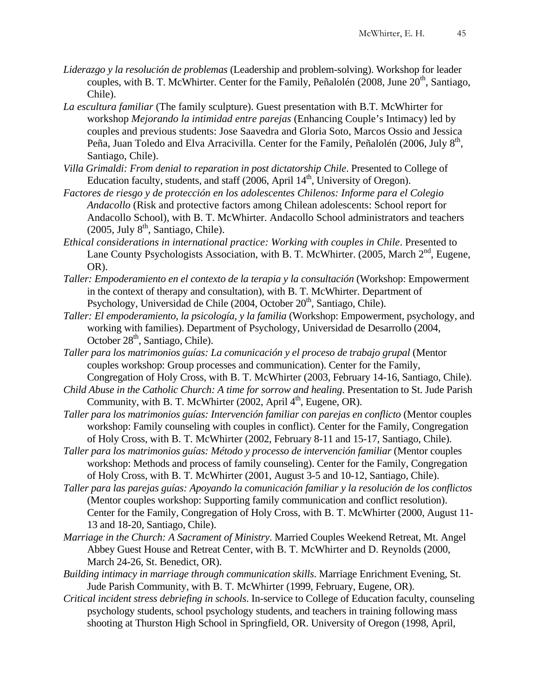- *Liderazgo y la resolución de problemas* (Leadership and problem-solving). Workshop for leader couples, with B. T. McWhirter. Center for the Family, Peñalolén (2008, June  $20<sup>th</sup>$ , Santiago, Chile).
- *La escultura familiar* (The family sculpture). Guest presentation with B.T. McWhirter for workshop *Mejorando la intimidad entre parejas* (Enhancing Couple's Intimacy) led by couples and previous students: Jose Saavedra and Gloria Soto, Marcos Ossio and Jessica Peña, Juan Toledo and Elva Arracivilla. Center for the Family, Peñalolén (2006, July 8<sup>th</sup>, Santiago, Chile).
- *Villa Grimaldi: From denial to reparation in post dictatorship Chile*. Presented to College of Education faculty, students, and staff  $(2006, April 14<sup>th</sup>, University of Oregon)$ .
- *Factores de riesgo y de protección en los adolescentes Chilenos: Informe para el Colegio Andacollo* (Risk and protective factors among Chilean adolescents: School report for Andacollo School), with B. T. McWhirter. Andacollo School administrators and teachers  $(2005, \text{July } 8^{\text{th}}, \text{ Santiago, Chile}).$
- *Ethical considerations in international practice: Working with couples in Chile*. Presented to Lane County Psychologists Association, with B. T. McWhirter. (2005, March  $2<sup>nd</sup>$ , Eugene, OR).
- *Taller: Empoderamiento en el contexto de la terapia y la consultación* (Workshop: Empowerment in the context of therapy and consultation), with B. T. McWhirter. Department of Psychology, Universidad de Chile  $(2004, \text{October } 20^{\text{th}})$ , Santiago, Chile).
- *Taller: El empoderamiento, la psicología, y la familia* (Workshop: Empowerment, psychology, and working with families). Department of Psychology, Universidad de Desarrollo (2004, October 28<sup>th</sup>, Santiago, Chile).
- *Taller para los matrimonios guías: La comunicación y el proceso de trabajo grupal* (Mentor couples workshop: Group processes and communication). Center for the Family, Congregation of Holy Cross, with B. T. McWhirter (2003, February 14-16, Santiago, Chile).
- *Child Abuse in the Catholic Church: A time for sorrow and healing*. Presentation to St. Jude Parish Community, with B. T. McWhirter  $(2002,$  April  $4<sup>th</sup>$ , Eugene, OR).
- *Taller para los matrimonios guías: Intervención familiar con parejas en conflicto* (Mentor couples workshop: Family counseling with couples in conflict). Center for the Family, Congregation of Holy Cross, with B. T. McWhirter (2002, February 8-11 and 15-17, Santiago, Chile).
- *Taller para los matrimonios guías: Método y processo de intervención familiar* (Mentor couples workshop: Methods and process of family counseling). Center for the Family, Congregation of Holy Cross, with B. T. McWhirter (2001, August 3-5 and 10-12, Santiago, Chile).
- *Taller para las parejas guías: Apoyando la comunicación familiar y la resolución de los conflictos* (Mentor couples workshop: Supporting family communication and conflict resolution). Center for the Family, Congregation of Holy Cross, with B. T. McWhirter (2000, August 11- 13 and 18-20, Santiago, Chile).
- *Marriage in the Church: A Sacrament of Ministry*. Married Couples Weekend Retreat, Mt. Angel Abbey Guest House and Retreat Center, with B. T. McWhirter and D. Reynolds (2000, March 24-26, St. Benedict, OR).
- *Building intimacy in marriage through communication skills*. Marriage Enrichment Evening, St. Jude Parish Community, with B. T. McWhirter (1999, February, Eugene, OR).
- *Critical incident stress debriefing in schools*. In-service to College of Education faculty, counseling psychology students, school psychology students, and teachers in training following mass shooting at Thurston High School in Springfield, OR. University of Oregon (1998, April,